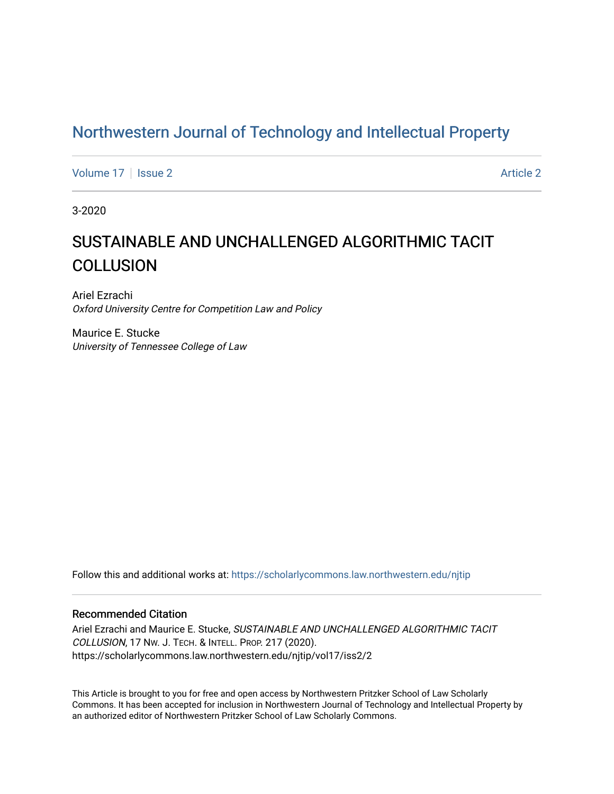## [Northwestern Journal of Technology and Intellectual Property](https://scholarlycommons.law.northwestern.edu/njtip)

[Volume 17](https://scholarlycommons.law.northwestern.edu/njtip/vol17) | [Issue 2](https://scholarlycommons.law.northwestern.edu/njtip/vol17/iss2) Article 2

3-2020

## SUSTAINABLE AND UNCHALLENGED ALGORITHMIC TACIT **COLLUSION**

Ariel Ezrachi Oxford University Centre for Competition Law and Policy

Maurice E. Stucke University of Tennessee College of Law

Follow this and additional works at: [https://scholarlycommons.law.northwestern.edu/njtip](https://scholarlycommons.law.northwestern.edu/njtip?utm_source=scholarlycommons.law.northwestern.edu%2Fnjtip%2Fvol17%2Fiss2%2F2&utm_medium=PDF&utm_campaign=PDFCoverPages) 

#### Recommended Citation

Ariel Ezrachi and Maurice E. Stucke, SUSTAINABLE AND UNCHALLENGED ALGORITHMIC TACIT COLLUSION, 17 NW. J. TECH. & INTELL. PROP. 217 (2020). https://scholarlycommons.law.northwestern.edu/njtip/vol17/iss2/2

This Article is brought to you for free and open access by Northwestern Pritzker School of Law Scholarly Commons. It has been accepted for inclusion in Northwestern Journal of Technology and Intellectual Property by an authorized editor of Northwestern Pritzker School of Law Scholarly Commons.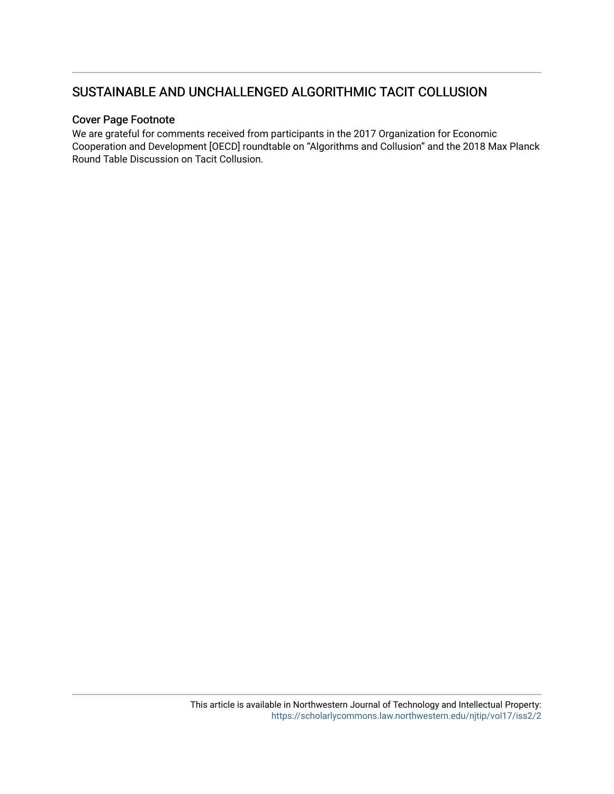## SUSTAINABLE AND UNCHALLENGED ALGORITHMIC TACIT COLLUSION

#### Cover Page Footnote

We are grateful for comments received from participants in the 2017 Organization for Economic Cooperation and Development [OECD] roundtable on "Algorithms and Collusion" and the 2018 Max Planck Round Table Discussion on Tacit Collusion.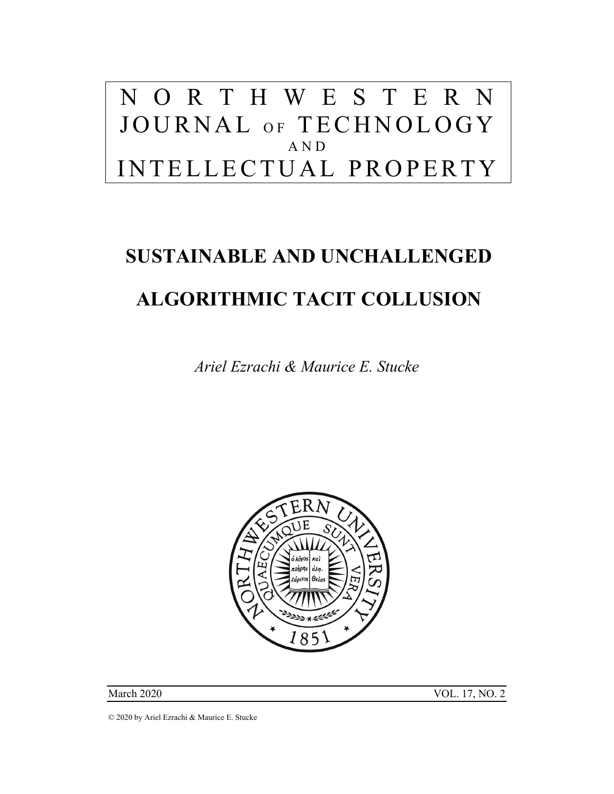## N O R T H W E S T E R N JOURNAL OF TECHNOLOGY AND INTELLECTUAL PROPERTY

# **SUSTAINABLE AND UNCHALLENGED ALGORITHMIC TACIT COLLUSION**

*Ariel Ezrachi & Maurice E. Stucke* 



March 2020 VOL. 17, NO. 2

© 2020 by Ariel Ezrachi & Maurice E. Stucke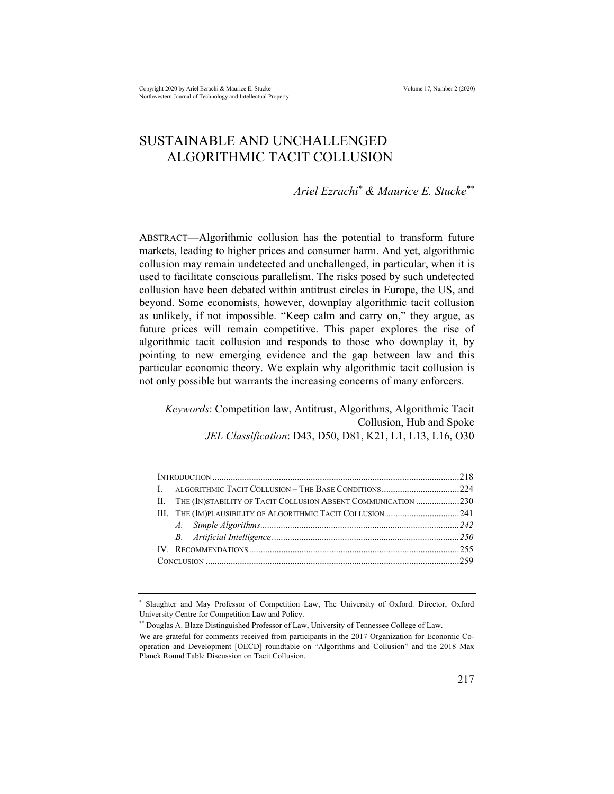Copyright 2020 by Ariel Ezrachi & Maurice E. Stucke Volume 17, Number 2 (2020) Northwestern Journal of Technology and Intellectual Property

### SUSTAINABLE AND UNCHALLENGED ALGORITHMIC TACIT COLLUSION

*Ariel Ezrachi\* & Maurice E. Stucke\*\** 

ABSTRACT—Algorithmic collusion has the potential to transform future markets, leading to higher prices and consumer harm. And yet, algorithmic collusion may remain undetected and unchallenged, in particular, when it is used to facilitate conscious parallelism. The risks posed by such undetected collusion have been debated within antitrust circles in Europe, the US, and beyond. Some economists, however, downplay algorithmic tacit collusion as unlikely, if not impossible. "Keep calm and carry on," they argue, as future prices will remain competitive. This paper explores the rise of algorithmic tacit collusion and responds to those who downplay it, by pointing to new emerging evidence and the gap between law and this particular economic theory. We explain why algorithmic tacit collusion is not only possible but warrants the increasing concerns of many enforcers.

*Keywords*: Competition law, Antitrust, Algorithms, Algorithmic Tacit Collusion, Hub and Spoke *JEL Classification*: D43, D50, D81, K21, L1, L13, L16, O30

| II. THE (IN) STABILITY OF TACIT COLLUSION ABSENT COMMUNICATION 230 |  |
|--------------------------------------------------------------------|--|
|                                                                    |  |
|                                                                    |  |
|                                                                    |  |
|                                                                    |  |
|                                                                    |  |
|                                                                    |  |

<sup>\*</sup> Slaughter and May Professor of Competition Law, The University of Oxford. Director, Oxford University Centre for Competition Law and Policy.

<sup>\*\*</sup> Douglas A. Blaze Distinguished Professor of Law, University of Tennessee College of Law.

We are grateful for comments received from participants in the 2017 Organization for Economic Cooperation and Development [OECD] roundtable on "Algorithms and Collusion" and the 2018 Max Planck Round Table Discussion on Tacit Collusion.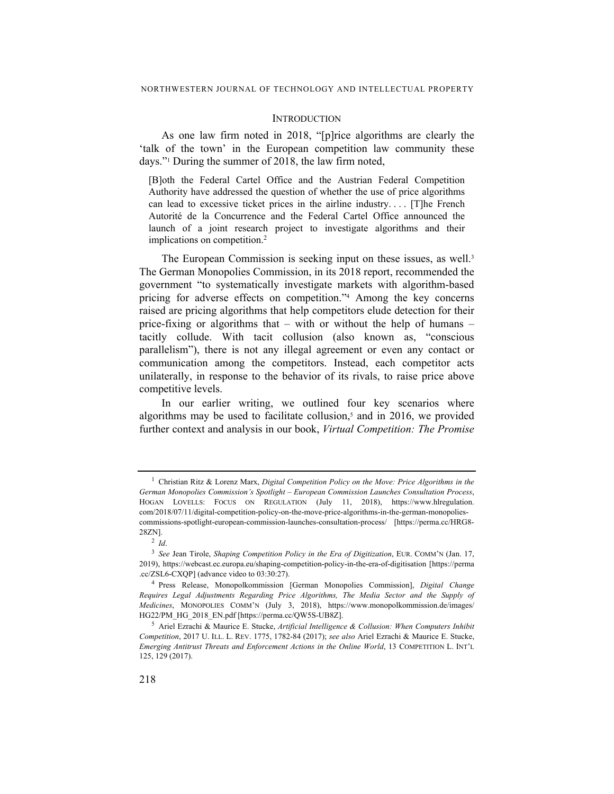#### **INTRODUCTION**

As one law firm noted in 2018, "[p]rice algorithms are clearly the 'talk of the town' in the European competition law community these days."1 During the summer of 2018, the law firm noted,

[B]oth the Federal Cartel Office and the Austrian Federal Competition Authority have addressed the question of whether the use of price algorithms can lead to excessive ticket prices in the airline industry. . . . [T]he French Autorité de la Concurrence and the Federal Cartel Office announced the launch of a joint research project to investigate algorithms and their implications on competition.<sup>2</sup>

The European Commission is seeking input on these issues, as well.<sup>3</sup> The German Monopolies Commission, in its 2018 report, recommended the government "to systematically investigate markets with algorithm-based pricing for adverse effects on competition."4 Among the key concerns raised are pricing algorithms that help competitors elude detection for their price-fixing or algorithms that  $-$  with or without the help of humans  $$ tacitly collude. With tacit collusion (also known as, "conscious parallelism"), there is not any illegal agreement or even any contact or communication among the competitors. Instead, each competitor acts unilaterally, in response to the behavior of its rivals, to raise price above competitive levels.

In our earlier writing, we outlined four key scenarios where algorithms may be used to facilitate collusion,<sup>5</sup> and in 2016, we provided further context and analysis in our book, *Virtual Competition: The Promise* 

<sup>1</sup> Christian Ritz & Lorenz Marx, *Digital Competition Policy on the Move: Price Algorithms in the German Monopolies Commission's Spotlight – European Commission Launches Consultation Process*, HOGAN LOVELLS: FOCUS ON REGULATION (July 11, 2018), https://www.hlregulation. com/2018/07/11/digital-competition-policy-on-the-move-price-algorithms-in-the-german-monopoliescommissions-spotlight-european-commission-launches-consultation-process/ [https://perma.cc/HRG8- 28ZN].

<sup>2</sup> *Id*.

<sup>3</sup> *See* Jean Tirole, *Shaping Competition Policy in the Era of Digitization*, EUR. COMM'N (Jan. 17, 2019), https://webcast.ec.europa.eu/shaping-competition-policy-in-the-era-of-digitisation [https://perma .cc/ZSL6-CXQP] (advance video to 03:30:27).

<sup>4</sup> Press Release, Monopolkommission [German Monopolies Commission], *Digital Change Requires Legal Adjustments Regarding Price Algorithms, The Media Sector and the Supply of Medicines*, MONOPOLIES COMM'N (July 3, 2018), https://www.monopolkommission.de/images/ HG22/PM\_HG\_2018\_EN.pdf [https://perma.cc/QW5S-UB8Z].

<sup>5</sup> Ariel Ezrachi & Maurice E. Stucke, *Artificial Intelligence & Collusion: When Computers Inhibit Competition*, 2017 U. ILL. L. REV. 1775, 1782-84 (2017); *see also* Ariel Ezrachi & Maurice E. Stucke, *Emerging Antitrust Threats and Enforcement Actions in the Online World*, 13 COMPETITION L. INT'L 125, 129 (2017).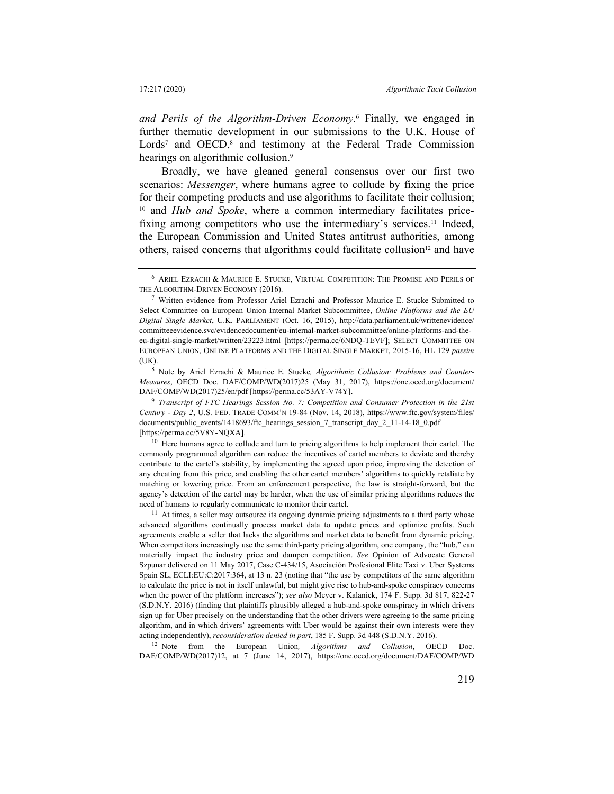*and Perils of the Algorithm-Driven Economy*. 6 Finally, we engaged in further thematic development in our submissions to the U.K. House of Lords<sup>7</sup> and OECD,<sup>8</sup> and testimony at the Federal Trade Commission hearings on algorithmic collusion.<sup>9</sup>

Broadly, we have gleaned general consensus over our first two scenarios: *Messenger*, where humans agree to collude by fixing the price for their competing products and use algorithms to facilitate their collusion; 10 and *Hub and Spoke*, where a common intermediary facilitates pricefixing among competitors who use the intermediary's services.<sup>11</sup> Indeed, the European Commission and United States antitrust authorities, among others, raised concerns that algorithms could facilitate collusion<sup>12</sup> and have

12 Note from the European Union*, Algorithms and Collusion*, OECD Doc. DAF/COMP/WD(2017)12, at 7 (June 14, 2017), https://one.oecd.org/document/DAF/COMP/WD

<sup>6</sup> ARIEL EZRACHI & MAURICE E. STUCKE, VIRTUAL COMPETITION: THE PROMISE AND PERILS OF THE ALGORITHM-DRIVEN ECONOMY (2016).

<sup>7</sup> Written evidence from Professor Ariel Ezrachi and Professor Maurice E. Stucke Submitted to Select Committee on European Union Internal Market Subcommittee, *Online Platforms and the EU Digital Single Market*, U.K. PARLIAMENT (Oct. 16, 2015), http://data.parliament.uk/writtenevidence/ committeeevidence.svc/evidencedocument/eu-internal-market-subcommittee/online-platforms-and-theeu-digital-single-market/written/23223.html [https://perma.cc/6NDQ-TEVF]; SELECT COMMITTEE ON EUROPEAN UNION, ONLINE PLATFORMS AND THE DIGITAL SINGLE MARKET, 2015-16, HL 129 *passim* (UK).

<sup>8</sup> Note by Ariel Ezrachi & Maurice E. Stucke*, Algorithmic Collusion: Problems and Counter-Measures*, OECD Doc. DAF/COMP/WD(2017)25 (May 31, 2017), https://one.oecd.org/document/ DAF/COMP/WD(2017)25/en/pdf [https://perma.cc/53AY-V74Y].

<sup>9</sup> *Transcript of FTC Hearings Session No. 7: Competition and Consumer Protection in the 21st Century - Day 2*, U.S. FED. TRADE COMM'N 19-84 (Nov. 14, 2018), https://www.ftc.gov/system/files/ documents/public\_events/1418693/ftc\_hearings\_session\_7\_transcript\_day\_2\_11-14-18\_0.pdf [https://perma.cc/5V8Y-NQXA].

<sup>&</sup>lt;sup>10</sup> Here humans agree to collude and turn to pricing algorithms to help implement their cartel. The commonly programmed algorithm can reduce the incentives of cartel members to deviate and thereby contribute to the cartel's stability, by implementing the agreed upon price, improving the detection of any cheating from this price, and enabling the other cartel members' algorithms to quickly retaliate by matching or lowering price. From an enforcement perspective, the law is straight-forward, but the agency's detection of the cartel may be harder, when the use of similar pricing algorithms reduces the need of humans to regularly communicate to monitor their cartel.

 $11$  At times, a seller may outsource its ongoing dynamic pricing adjustments to a third party whose advanced algorithms continually process market data to update prices and optimize profits. Such agreements enable a seller that lacks the algorithms and market data to benefit from dynamic pricing. When competitors increasingly use the same third-party pricing algorithm, one company, the "hub," can materially impact the industry price and dampen competition. *See* Opinion of Advocate General Szpunar delivered on 11 May 2017, Case C-434/15, Asociación Profesional Elite Taxi v. Uber Systems Spain SL, ECLI:EU:C:2017:364, at 13 n. 23 (noting that "the use by competitors of the same algorithm to calculate the price is not in itself unlawful, but might give rise to hub-and-spoke conspiracy concerns when the power of the platform increases"); *see also* Meyer v. Kalanick, 174 F. Supp. 3d 817, 822-27 (S.D.N.Y. 2016) (finding that plaintiffs plausibly alleged a hub-and-spoke conspiracy in which drivers sign up for Uber precisely on the understanding that the other drivers were agreeing to the same pricing algorithm, and in which drivers' agreements with Uber would be against their own interests were they acting independently), *reconsideration denied in part*, 185 F. Supp. 3d 448 (S.D.N.Y. 2016).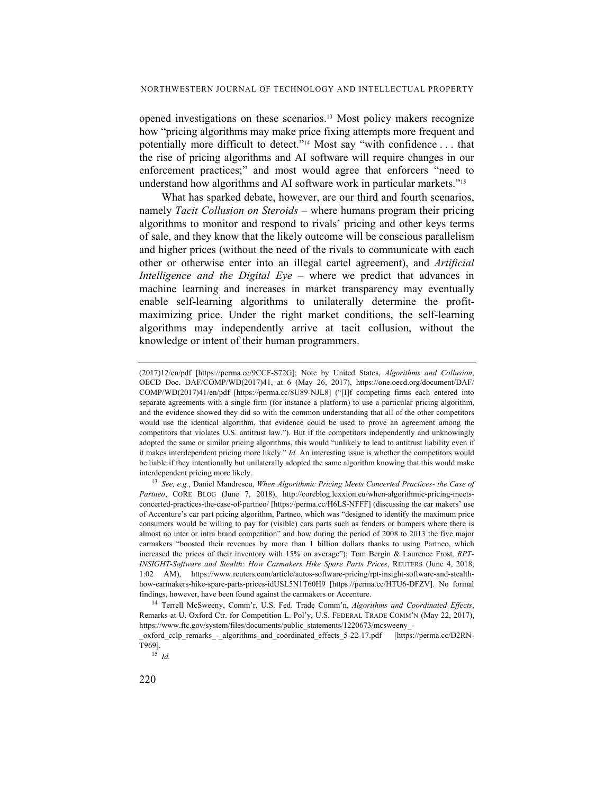opened investigations on these scenarios.13 Most policy makers recognize how "pricing algorithms may make price fixing attempts more frequent and potentially more difficult to detect."14 Most say "with confidence . . . that the rise of pricing algorithms and AI software will require changes in our enforcement practices;" and most would agree that enforcers "need to understand how algorithms and AI software work in particular markets."15

What has sparked debate, however, are our third and fourth scenarios, namely *Tacit Collusion on Steroids –* where humans program their pricing algorithms to monitor and respond to rivals' pricing and other keys terms of sale, and they know that the likely outcome will be conscious parallelism and higher prices (without the need of the rivals to communicate with each other or otherwise enter into an illegal cartel agreement), and *Artificial Intelligence and the Digital Eye* – where we predict that advances in machine learning and increases in market transparency may eventually enable self-learning algorithms to unilaterally determine the profitmaximizing price. Under the right market conditions, the self-learning algorithms may independently arrive at tacit collusion, without the knowledge or intent of their human programmers.

<sup>(2017)12/</sup>en/pdf [https://perma.cc/9CCF-S72G]; Note by United States, *Algorithms and Collusion*, OECD Doc. DAF/COMP/WD(2017)41, at 6 (May 26, 2017), https://one.oecd.org/document/DAF/ COMP/WD(2017)41/en/pdf [https://perma.cc/8U89-NJL8] ("[I]f competing firms each entered into separate agreements with a single firm (for instance a platform) to use a particular pricing algorithm, and the evidence showed they did so with the common understanding that all of the other competitors would use the identical algorithm, that evidence could be used to prove an agreement among the competitors that violates U.S. antitrust law."). But if the competitors independently and unknowingly adopted the same or similar pricing algorithms, this would "unlikely to lead to antitrust liability even if it makes interdependent pricing more likely." *Id.* An interesting issue is whether the competitors would be liable if they intentionally but unilaterally adopted the same algorithm knowing that this would make interdependent pricing more likely.

<sup>13</sup> *See, e.g.*, Daniel Mandrescu, *When Algorithmic Pricing Meets Concerted Practices- the Case of Partneo*, CORE BLOG (June 7, 2018), http://coreblog.lexxion.eu/when-algorithmic-pricing-meetsconcerted-practices-the-case-of-partneo/ [https://perma.cc/H6LS-NFFF] (discussing the car makers' use of Accenture's car part pricing algorithm, Partneo, which was "designed to identify the maximum price consumers would be willing to pay for (visible) cars parts such as fenders or bumpers where there is almost no inter or intra brand competition" and how during the period of 2008 to 2013 the five major carmakers "boosted their revenues by more than 1 billion dollars thanks to using Partneo, which increased the prices of their inventory with 15% on average"); Tom Bergin & Laurence Frost, *RPT-INSIGHT-Software and Stealth: How Carmakers Hike Spare Parts Prices*, REUTERS (June 4, 2018, 1:02 AM), https://www.reuters.com/article/autos-software-pricing/rpt-insight-software-and-stealthhow-carmakers-hike-spare-parts-prices-idUSL5N1T60H9 [https://perma.cc/HTU6-DFZV]. No formal findings, however, have been found against the carmakers or Accenture.

<sup>14</sup> Terrell McSweeny, Comm'r, U.S. Fed. Trade Comm'n, *Algorithms and Coordinated Effects*, Remarks at U. Oxford Ctr. for Competition L. Pol'y, U.S. FEDERAL TRADE COMM'N (May 22, 2017), https://www.ftc.gov/system/files/documents/public\_statements/1220673/mcsweeny\_-

oxford cclp remarks - algorithms and coordinated effects 5-22-17.pdf [https://perma.cc/D2RN-T969].

<sup>15</sup> *Id.*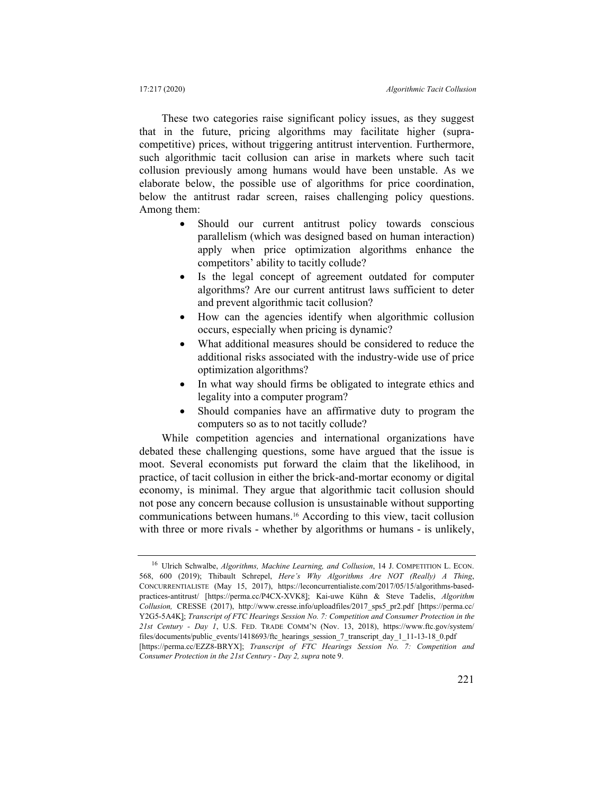These two categories raise significant policy issues, as they suggest that in the future, pricing algorithms may facilitate higher (supracompetitive) prices, without triggering antitrust intervention. Furthermore, such algorithmic tacit collusion can arise in markets where such tacit collusion previously among humans would have been unstable. As we elaborate below, the possible use of algorithms for price coordination, below the antitrust radar screen, raises challenging policy questions. Among them:

- Should our current antitrust policy towards conscious parallelism (which was designed based on human interaction) apply when price optimization algorithms enhance the competitors' ability to tacitly collude?
- Is the legal concept of agreement outdated for computer algorithms? Are our current antitrust laws sufficient to deter and prevent algorithmic tacit collusion?
- How can the agencies identify when algorithmic collusion occurs, especially when pricing is dynamic?
- What additional measures should be considered to reduce the additional risks associated with the industry-wide use of price optimization algorithms?
- In what way should firms be obligated to integrate ethics and legality into a computer program?
- Should companies have an affirmative duty to program the computers so as to not tacitly collude?

While competition agencies and international organizations have debated these challenging questions, some have argued that the issue is moot. Several economists put forward the claim that the likelihood, in practice, of tacit collusion in either the brick-and-mortar economy or digital economy, is minimal. They argue that algorithmic tacit collusion should not pose any concern because collusion is unsustainable without supporting communications between humans.16 According to this view, tacit collusion with three or more rivals - whether by algorithms or humans - is unlikely,

<sup>16</sup> Ulrich Schwalbe, *Algorithms, Machine Learning, and Collusion*, 14 J. COMPETITION L. ECON. 568, 600 (2019); Thibault Schrepel, *Here's Why Algorithms Are NOT (Really) A Thing*, CONCURRENTIALISTE (May 15, 2017), https://leconcurrentialiste.com/2017/05/15/algorithms-basedpractices-antitrust/ [https://perma.cc/P4CX-XVK8]; Kai-uwe Kühn & Steve Tadelis, *Algorithm Collusion,* CRESSE (2017), http://www.cresse.info/uploadfiles/2017\_sps5\_pr2.pdf [https://perma.cc/ Y2G5-5A4K]; *Transcript of FTC Hearings Session No. 7: Competition and Consumer Protection in the 21st Century - Day 1*, U.S. FED. TRADE COMM'N (Nov. 13, 2018), https://www.ftc.gov/system/ files/documents/public\_events/1418693/ftc\_hearings\_session\_7\_transcript\_day\_1\_11-13-18\_0.pdf [https://perma.cc/EZZ8-BRYX]; *Transcript of FTC Hearings Session No. 7: Competition and* 

*Consumer Protection in the 21st Century - Day 2, supra* note 9.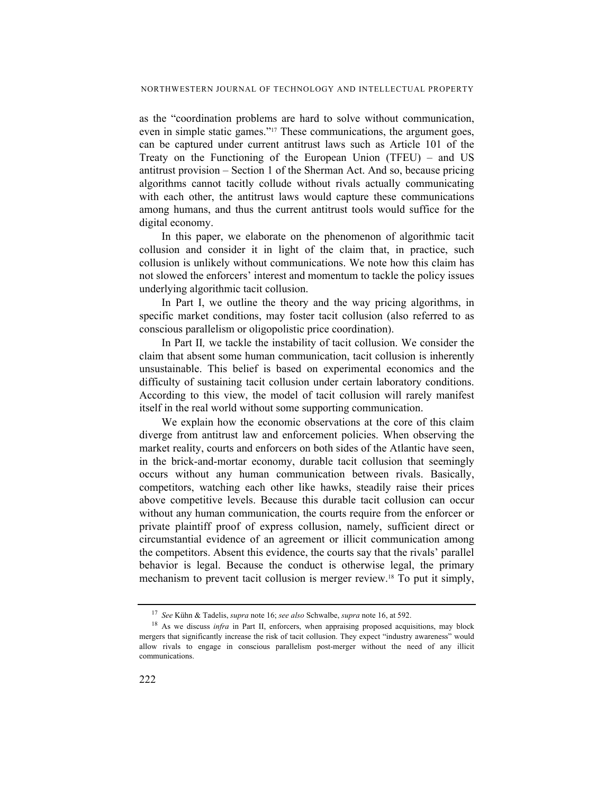as the "coordination problems are hard to solve without communication, even in simple static games."17 These communications, the argument goes, can be captured under current antitrust laws such as Article 101 of the Treaty on the Functioning of the European Union (TFEU) – and US antitrust provision – Section 1 of the Sherman Act. And so, because pricing algorithms cannot tacitly collude without rivals actually communicating with each other, the antitrust laws would capture these communications among humans, and thus the current antitrust tools would suffice for the digital economy.

In this paper, we elaborate on the phenomenon of algorithmic tacit collusion and consider it in light of the claim that, in practice, such collusion is unlikely without communications. We note how this claim has not slowed the enforcers' interest and momentum to tackle the policy issues underlying algorithmic tacit collusion.

In Part I, we outline the theory and the way pricing algorithms, in specific market conditions, may foster tacit collusion (also referred to as conscious parallelism or oligopolistic price coordination).

In Part II*,* we tackle the instability of tacit collusion. We consider the claim that absent some human communication, tacit collusion is inherently unsustainable. This belief is based on experimental economics and the difficulty of sustaining tacit collusion under certain laboratory conditions. According to this view, the model of tacit collusion will rarely manifest itself in the real world without some supporting communication.

We explain how the economic observations at the core of this claim diverge from antitrust law and enforcement policies. When observing the market reality, courts and enforcers on both sides of the Atlantic have seen, in the brick-and-mortar economy, durable tacit collusion that seemingly occurs without any human communication between rivals. Basically, competitors, watching each other like hawks, steadily raise their prices above competitive levels. Because this durable tacit collusion can occur without any human communication, the courts require from the enforcer or private plaintiff proof of express collusion, namely, sufficient direct or circumstantial evidence of an agreement or illicit communication among the competitors. Absent this evidence, the courts say that the rivals' parallel behavior is legal. Because the conduct is otherwise legal, the primary mechanism to prevent tacit collusion is merger review.18 To put it simply,

<sup>17</sup> *See* Kühn & Tadelis, *supra* note 16; *see also* Schwalbe, *supra* note 16, at 592.

<sup>&</sup>lt;sup>18</sup> As we discuss *infra* in Part II, enforcers, when appraising proposed acquisitions, may block mergers that significantly increase the risk of tacit collusion. They expect "industry awareness" would allow rivals to engage in conscious parallelism post-merger without the need of any illicit communications.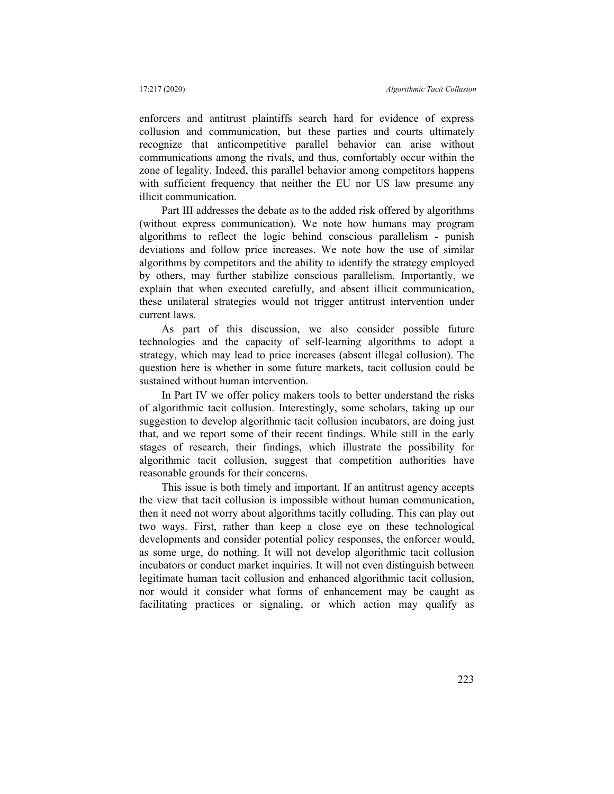enforcers and antitrust plaintiffs search hard for evidence of express collusion and communication, but these parties and courts ultimately recognize that anticompetitive parallel behavior can arise without communications among the rivals, and thus, comfortably occur within the zone of legality. Indeed, this parallel behavior among competitors happens with sufficient frequency that neither the EU nor US law presume any illicit communication.

Part III addresses the debate as to the added risk offered by algorithms (without express communication). We note how humans may program algorithms to reflect the logic behind conscious parallelism - punish deviations and follow price increases. We note how the use of similar algorithms by competitors and the ability to identify the strategy employed by others, may further stabilize conscious parallelism. Importantly, we explain that when executed carefully, and absent illicit communication, these unilateral strategies would not trigger antitrust intervention under current laws.

As part of this discussion, we also consider possible future technologies and the capacity of self-learning algorithms to adopt a strategy, which may lead to price increases (absent illegal collusion). The question here is whether in some future markets, tacit collusion could be sustained without human intervention.

In Part IV we offer policy makers tools to better understand the risks of algorithmic tacit collusion. Interestingly, some scholars, taking up our suggestion to develop algorithmic tacit collusion incubators, are doing just that, and we report some of their recent findings. While still in the early stages of research, their findings, which illustrate the possibility for algorithmic tacit collusion, suggest that competition authorities have reasonable grounds for their concerns.

This issue is both timely and important. If an antitrust agency accepts the view that tacit collusion is impossible without human communication, then it need not worry about algorithms tacitly colluding. This can play out two ways. First, rather than keep a close eye on these technological developments and consider potential policy responses, the enforcer would, as some urge, do nothing. It will not develop algorithmic tacit collusion incubators or conduct market inquiries. It will not even distinguish between legitimate human tacit collusion and enhanced algorithmic tacit collusion, nor would it consider what forms of enhancement may be caught as facilitating practices or signaling, or which action may qualify as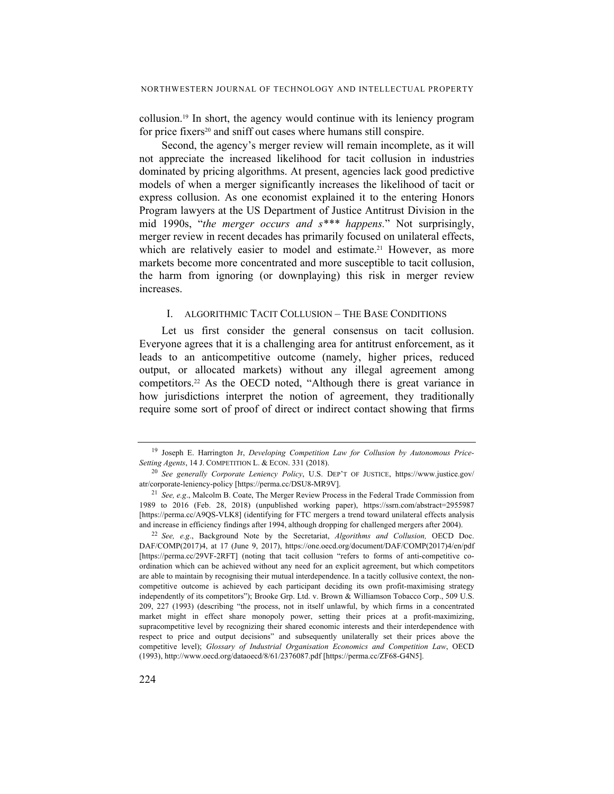collusion.19 In short, the agency would continue with its leniency program for price fixers<sup>20</sup> and sniff out cases where humans still conspire.

Second, the agency's merger review will remain incomplete, as it will not appreciate the increased likelihood for tacit collusion in industries dominated by pricing algorithms. At present, agencies lack good predictive models of when a merger significantly increases the likelihood of tacit or express collusion. As one economist explained it to the entering Honors Program lawyers at the US Department of Justice Antitrust Division in the mid 1990s, "*the merger occurs and s\*\*\* happens.*" Not surprisingly, merger review in recent decades has primarily focused on unilateral effects, which are relatively easier to model and estimate.<sup>21</sup> However, as more markets become more concentrated and more susceptible to tacit collusion, the harm from ignoring (or downplaying) this risk in merger review increases.

#### I. ALGORITHMIC TACIT COLLUSION – THE BASE CONDITIONS

Let us first consider the general consensus on tacit collusion. Everyone agrees that it is a challenging area for antitrust enforcement, as it leads to an anticompetitive outcome (namely, higher prices, reduced output, or allocated markets) without any illegal agreement among competitors.22 As the OECD noted, "Although there is great variance in how jurisdictions interpret the notion of agreement, they traditionally require some sort of proof of direct or indirect contact showing that firms

<sup>19</sup> Joseph E. Harrington Jr, *Developing Competition Law for Collusion by Autonomous Price-Setting Agents*, 14 J. COMPETITION L. & ECON. 331 (2018).

<sup>20</sup> *See generally Corporate Leniency Policy*, U.S. DEP'T OF JUSTICE, https://www.justice.gov/ atr/corporate-leniency-policy [https://perma.cc/DSU8-MR9V].

<sup>21</sup> *See, e.g*., Malcolm B. Coate, The Merger Review Process in the Federal Trade Commission from 1989 to 2016 (Feb. 28, 2018) (unpublished working paper), https://ssrn.com/abstract=2955987 [https://perma.cc/A9QS-VLK8] (identifying for FTC mergers a trend toward unilateral effects analysis and increase in efficiency findings after 1994, although dropping for challenged mergers after 2004).

<sup>22</sup> *See, e.g*., Background Note by the Secretariat, *Algorithms and Collusion,* OECD Doc. DAF/COMP(2017)4, at 17 (June 9, 2017), https://one.oecd.org/document/DAF/COMP(2017)4/en/pdf [https://perma.cc/29VF-2RFT] (noting that tacit collusion "refers to forms of anti-competitive coordination which can be achieved without any need for an explicit agreement, but which competitors are able to maintain by recognising their mutual interdependence. In a tacitly collusive context, the noncompetitive outcome is achieved by each participant deciding its own profit-maximising strategy independently of its competitors"); Brooke Grp. Ltd. v. Brown & Williamson Tobacco Corp., 509 U.S. 209, 227 (1993) (describing "the process, not in itself unlawful, by which firms in a concentrated market might in effect share monopoly power, setting their prices at a profit-maximizing, supracompetitive level by recognizing their shared economic interests and their interdependence with respect to price and output decisions" and subsequently unilaterally set their prices above the competitive level); *Glossary of Industrial Organisation Economics and Competition Law*, OECD (1993), http://www.oecd.org/dataoecd/8/61/2376087.pdf [https://perma.cc/ZF68-G4N5].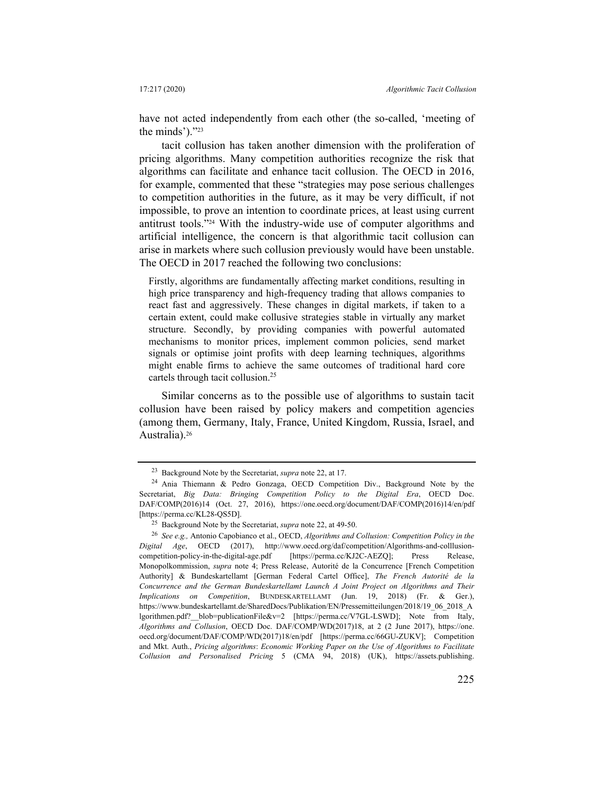have not acted independently from each other (the so-called, 'meeting of the minds')."23

tacit collusion has taken another dimension with the proliferation of pricing algorithms. Many competition authorities recognize the risk that algorithms can facilitate and enhance tacit collusion. The OECD in 2016, for example, commented that these "strategies may pose serious challenges to competition authorities in the future, as it may be very difficult, if not impossible, to prove an intention to coordinate prices, at least using current antitrust tools."24 With the industry-wide use of computer algorithms and artificial intelligence, the concern is that algorithmic tacit collusion can arise in markets where such collusion previously would have been unstable. The OECD in 2017 reached the following two conclusions:

Firstly, algorithms are fundamentally affecting market conditions, resulting in high price transparency and high-frequency trading that allows companies to react fast and aggressively. These changes in digital markets, if taken to a certain extent, could make collusive strategies stable in virtually any market structure. Secondly, by providing companies with powerful automated mechanisms to monitor prices, implement common policies, send market signals or optimise joint profits with deep learning techniques, algorithms might enable firms to achieve the same outcomes of traditional hard core cartels through tacit collusion.25

Similar concerns as to the possible use of algorithms to sustain tacit collusion have been raised by policy makers and competition agencies (among them, Germany, Italy, France, United Kingdom, Russia, Israel, and Australia).26

<sup>23</sup> Background Note by the Secretariat, *supra* note 22, at 17.

<sup>24</sup> Ania Thiemann & Pedro Gonzaga, OECD Competition Div., Background Note by the Secretariat, *Big Data: Bringing Competition Policy to the Digital Era*, OECD Doc. DAF/COMP(2016)14 (Oct. 27, 2016), https://one.oecd.org/document/DAF/COMP(2016)14/en/pdf [https://perma.cc/KL28-QS5D].

<sup>25</sup> Background Note by the Secretariat, *supra* note 22, at 49-50. 26 *See e.g.,* Antonio Capobianco et al., OECD, *Algorithms and Collusion: Competition Policy in the Digital Age*, OECD (2017), http://www.oecd.org/daf/competition/Algorithms-and-colllusioncompetition-policy-in-the-digital-age.pdf [https://perma.cc/KJ2C-AEZQ]; Press Release, Monopolkommission, *supra* note 4; Press Release, Autorité de la Concurrence [French Competition Authority] & Bundeskartellamt [German Federal Cartel Office], *The French Autorité de la Concurrence and the German Bundeskartellamt Launch A Joint Project on Algorithms and Their Implications on Competition*, BUNDESKARTELLAMT (Jun. 19, 2018) (Fr. & Ger.), https://www.bundeskartellamt.de/SharedDocs/Publikation/EN/Pressemitteilungen/2018/19\_06\_2018\_A lgorithmen.pdf?\_\_blob=publicationFile&v=2 [https://perma.cc/V7GL-LSWD]; Note from Italy, *Algorithms and Collusion*, OECD Doc. DAF/COMP/WD(2017)18, at 2 (2 June 2017), https://one. oecd.org/document/DAF/COMP/WD(2017)18/en/pdf [https://perma.cc/66GU-ZUKV]; Competition and Mkt. Auth., *Pricing algorithms*: *Economic Working Paper on the Use of Algorithms to Facilitate Collusion and Personalised Pricing* 5 (CMA 94, 2018) (UK), https://assets.publishing.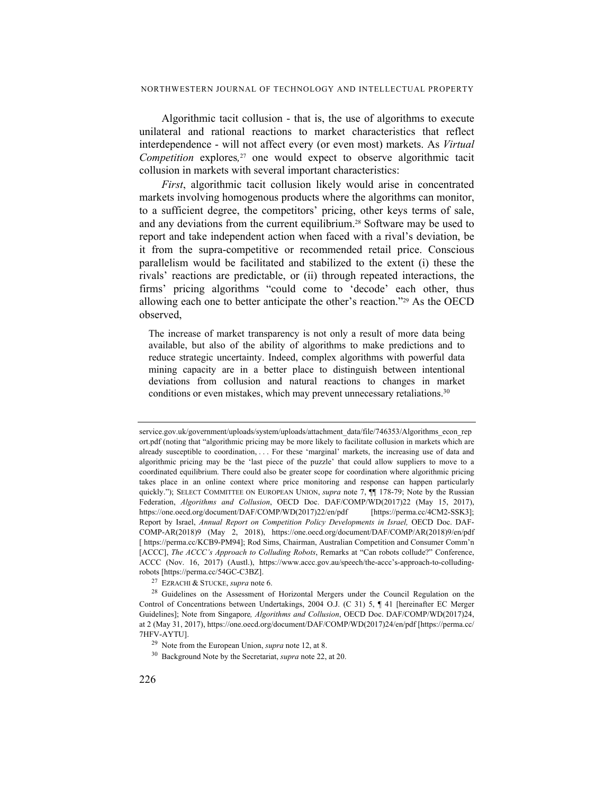Algorithmic tacit collusion - that is, the use of algorithms to execute unilateral and rational reactions to market characteristics that reflect interdependence - will not affect every (or even most) markets. As *Virtual Competition* explores*,* 27 one would expect to observe algorithmic tacit collusion in markets with several important characteristics:

*First*, algorithmic tacit collusion likely would arise in concentrated markets involving homogenous products where the algorithms can monitor, to a sufficient degree, the competitors' pricing, other keys terms of sale, and any deviations from the current equilibrium.28 Software may be used to report and take independent action when faced with a rival's deviation, be it from the supra-competitive or recommended retail price. Conscious parallelism would be facilitated and stabilized to the extent (i) these the rivals' reactions are predictable, or (ii) through repeated interactions, the firms' pricing algorithms "could come to 'decode' each other, thus allowing each one to better anticipate the other's reaction."29 As the OECD observed,

The increase of market transparency is not only a result of more data being available, but also of the ability of algorithms to make predictions and to reduce strategic uncertainty. Indeed, complex algorithms with powerful data mining capacity are in a better place to distinguish between intentional deviations from collusion and natural reactions to changes in market conditions or even mistakes, which may prevent unnecessary retaliations.<sup>30</sup>

27 EZRACHI & STUCKE, *supra* note 6.

service.gov.uk/government/uploads/system/uploads/attachment\_data/file/746353/Algorithms\_econ\_rep ort.pdf (noting that "algorithmic pricing may be more likely to facilitate collusion in markets which are already susceptible to coordination, ... For these 'marginal' markets, the increasing use of data and algorithmic pricing may be the 'last piece of the puzzle' that could allow suppliers to move to a coordinated equilibrium. There could also be greater scope for coordination where algorithmic pricing takes place in an online context where price monitoring and response can happen particularly quickly."); SELECT COMMITTEE ON EUROPEAN UNION, *supra* note 7,  $\P$ <sup>[</sup>] 178-79; Note by the Russian Federation, *Algorithms and Collusion*, OECD Doc. DAF/COMP/WD(2017)22 (May 15, 2017),<br>https://one.oecd.org/document/DAF/COMP/WD(2017)22/en/pdf [https://perma.cc/4CM2-SSK3]; https://one.oecd.org/document/DAF/COMP/WD(2017)22/en/pdf Report by Israel, *Annual Report on Competition Policy Developments in Israel,* OECD Doc. DAF-COMP-AR(2018)9 (May 2, 2018), https://one.oecd.org/document/DAF/COMP/AR(2018)9/en/pdf [ https://perma.cc/KCB9-PM94]; Rod Sims, Chairman, Australian Competition and Consumer Comm'n [ACCC], *The ACCC's Approach to Colluding Robots*, Remarks at "Can robots collude?" Conference, ACCC (Nov. 16, 2017) (Austl.), https://www.accc.gov.au/speech/the-accc's-approach-to-colludingrobots [https://perma.cc/54GC-C3BZ].

<sup>&</sup>lt;sup>28</sup> Guidelines on the Assessment of Horizontal Mergers under the Council Regulation on the Control of Concentrations between Undertakings, 2004 O.J. (C 31) 5, ¶ 41 [hereinafter EC Merger Guidelines]; Note from Singapore*, Algorithms and Collusion*, OECD Doc. DAF/COMP/WD(2017)24, at 2 (May 31, 2017), https://one.oecd.org/document/DAF/COMP/WD(2017)24/en/pdf [https://perma.cc/ 7HFV-AYTU].

<sup>29</sup> Note from the European Union, *supra* note 12, at 8.

<sup>30</sup> Background Note by the Secretariat, *supra* note 22, at 20.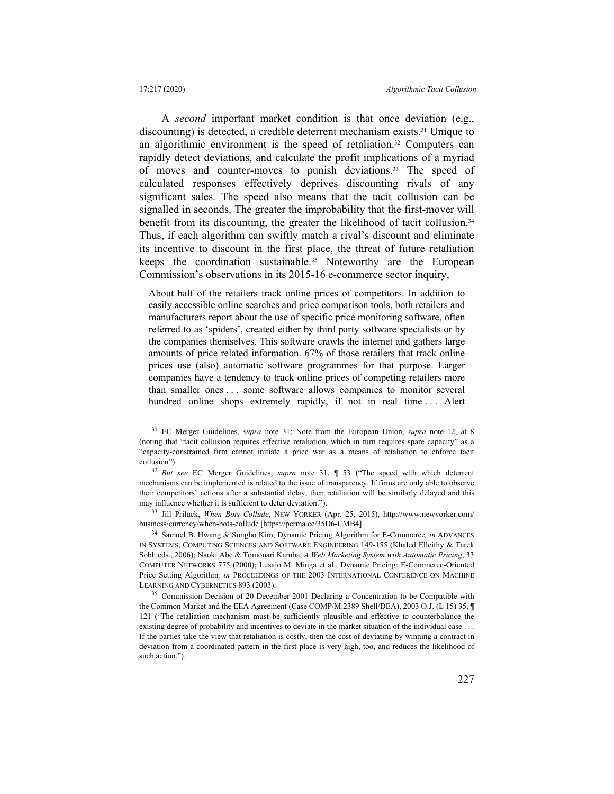A *second* important market condition is that once deviation (e.g., discounting) is detected, a credible deterrent mechanism exists.31 Unique to an algorithmic environment is the speed of retaliation.<sup>32</sup> Computers can rapidly detect deviations, and calculate the profit implications of a myriad of moves and counter-moves to punish deviations.<sup>33</sup> The speed of calculated responses effectively deprives discounting rivals of any significant sales. The speed also means that the tacit collusion can be signalled in seconds. The greater the improbability that the first-mover will benefit from its discounting, the greater the likelihood of tacit collusion.<sup>34</sup> Thus, if each algorithm can swiftly match a rival's discount and eliminate its incentive to discount in the first place, the threat of future retaliation keeps the coordination sustainable.35 Noteworthy are the European Commission's observations in its 2015-16 e-commerce sector inquiry,

About half of the retailers track online prices of competitors. In addition to easily accessible online searches and price comparison tools, both retailers and manufacturers report about the use of specific price monitoring software, often referred to as 'spiders', created either by third party software specialists or by the companies themselves. This software crawls the internet and gathers large amounts of price related information. 67% of those retailers that track online prices use (also) automatic software programmes for that purpose. Larger companies have a tendency to track online prices of competing retailers more than smaller ones . . . some software allows companies to monitor several hundred online shops extremely rapidly, if not in real time ... Alert

<sup>31</sup> EC Merger Guidelines, *supra* note 31; Note from the European Union, *supra* note 12, at 8 (noting that "tacit collusion requires effective retaliation, which in turn requires spare capacity" as a "capacity-constrained firm cannot initiate a price war as a means of retaliation to enforce tacit collusion").

<sup>32</sup> *But see* EC Merger Guidelines, *supra* note 31, ¶ 53 ("The speed with which deterrent mechanisms can be implemented is related to the issue of transparency. If firms are only able to observe their competitors' actions after a substantial delay, then retaliation will be similarly delayed and this may influence whether it is sufficient to deter deviation.").

<sup>33</sup> Jill Priluck, *When Bots Collude*, NEW YORKER (Apr. 25, 2015), http://www.newyorker.com/ business/currency/when-bots-collude [https://perma.cc/35D6-CMB4].

<sup>34</sup> Samuel B. Hwang & Sungho Kim, Dynamic Pricing Algorithm for E-Commerce*, in* ADVANCES IN SYSTEMS, COMPUTING SCIENCES AND SOFTWARE ENGINEERING 149-155 (Khaled Elleithy & Tarek Sobh eds., 2006); Naoki Abe & Tomonari Kamba, *A Web Marketing System with Automatic Pricing*, 33 COMPUTER NETWORKS 775 (2000); Lusajo M. Minga et al., Dynamic Pricing: E-Commerce-Oriented Price Setting Algorithm*, in* PROCEEDINGS OF THE 2003 INTERNATIONAL CONFERENCE ON MACHINE LEARNING AND CYBERNETICS 893 (2003).

<sup>&</sup>lt;sup>35</sup> Commission Decision of 20 December 2001 Declaring a Concentration to be Compatible with the Common Market and the EEA Agreement (Case COMP/M.2389 Shell/DEA), 2003 O.J. (L 15) 35, ¶ 121 ("The retaliation mechanism must be sufficiently plausible and effective to counterbalance the existing degree of probability and incentives to deviate in the market situation of the individual case . . . If the parties take the view that retaliation is costly, then the cost of deviating by winning a contract in deviation from a coordinated pattern in the first place is very high, too, and reduces the likelihood of such action.").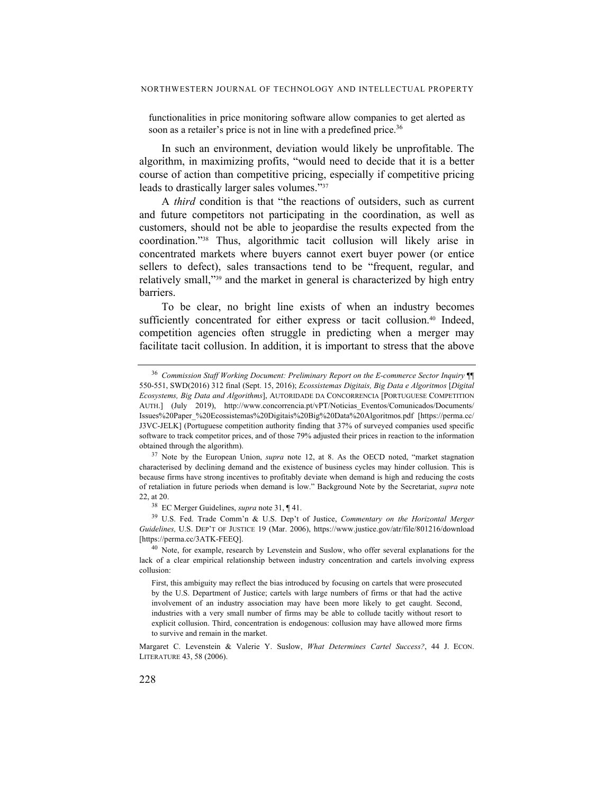functionalities in price monitoring software allow companies to get alerted as soon as a retailer's price is not in line with a predefined price.<sup>36</sup>

In such an environment, deviation would likely be unprofitable. The algorithm, in maximizing profits, "would need to decide that it is a better course of action than competitive pricing, especially if competitive pricing leads to drastically larger sales volumes."37

A *third* condition is that "the reactions of outsiders, such as current and future competitors not participating in the coordination, as well as customers, should not be able to jeopardise the results expected from the coordination."38 Thus, algorithmic tacit collusion will likely arise in concentrated markets where buyers cannot exert buyer power (or entice sellers to defect), sales transactions tend to be "frequent, regular, and relatively small,"39 and the market in general is characterized by high entry barriers.

To be clear, no bright line exists of when an industry becomes sufficiently concentrated for either express or tacit collusion.<sup>40</sup> Indeed, competition agencies often struggle in predicting when a merger may facilitate tacit collusion. In addition, it is important to stress that the above

38 EC Merger Guidelines, *supra* note 31, ¶ 41.

39 U.S. Fed. Trade Comm'n & U.S. Dep't of Justice, *Commentary on the Horizontal Merger Guidelines,* U.S. DEP'T OF JUSTICE 19 (Mar. 2006), https://www.justice.gov/atr/file/801216/download [https://perma.cc/3ATK-FEEQ].

<sup>36</sup> *Commission Staff Working Document: Preliminary Report on the E-commerce Sector Inquiry* ¶¶ 550-551, SWD(2016) 312 final (Sept. 15, 2016); *Ecossistemas Digitais, Big Data e Algoritmos* [*Digital Ecosystems, Big Data and Algorithms*], AUTORIDADE DA CONCORRENCIA [PORTUGUESE COMPETITION AUTH.] (July 2019), http://www.concorrencia.pt/vPT/Noticias\_Eventos/Comunicados/Documents/ Issues%20Paper\_%20Ecossistemas%20Digitais%20Big%20Data%20Algoritmos.pdf [https://perma.cc/ J3VC-JELK] (Portuguese competition authority finding that 37% of surveyed companies used specific software to track competitor prices, and of those 79% adjusted their prices in reaction to the information obtained through the algorithm).

<sup>37</sup> Note by the European Union, *supra* note 12, at 8. As the OECD noted, "market stagnation characterised by declining demand and the existence of business cycles may hinder collusion. This is because firms have strong incentives to profitably deviate when demand is high and reducing the costs of retaliation in future periods when demand is low." Background Note by the Secretariat, *supra* note 22, at 20.

<sup>&</sup>lt;sup>40</sup> Note, for example, research by Levenstein and Suslow, who offer several explanations for the lack of a clear empirical relationship between industry concentration and cartels involving express collusion:

First, this ambiguity may reflect the bias introduced by focusing on cartels that were prosecuted by the U.S. Department of Justice; cartels with large numbers of firms or that had the active involvement of an industry association may have been more likely to get caught. Second, industries with a very small number of firms may be able to collude tacitly without resort to explicit collusion. Third, concentration is endogenous: collusion may have allowed more firms to survive and remain in the market.

Margaret C. Levenstein & Valerie Y. Suslow, *What Determines Cartel Success?*, 44 J. ECON. LITERATURE 43, 58 (2006).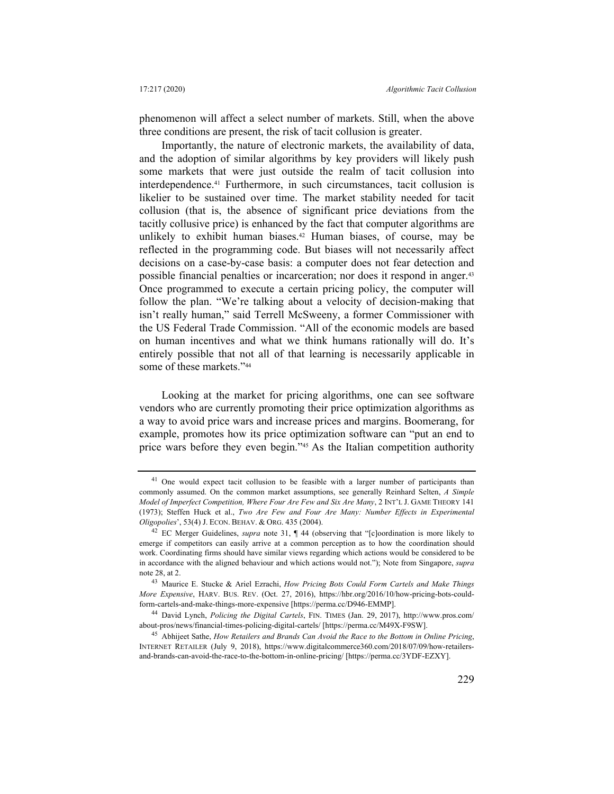phenomenon will affect a select number of markets. Still, when the above three conditions are present, the risk of tacit collusion is greater.

Importantly, the nature of electronic markets, the availability of data, and the adoption of similar algorithms by key providers will likely push some markets that were just outside the realm of tacit collusion into interdependence.41 Furthermore, in such circumstances, tacit collusion is likelier to be sustained over time. The market stability needed for tacit collusion (that is, the absence of significant price deviations from the tacitly collusive price) is enhanced by the fact that computer algorithms are unlikely to exhibit human biases.<sup>42</sup> Human biases, of course, may be reflected in the programming code. But biases will not necessarily affect decisions on a case-by-case basis: a computer does not fear detection and possible financial penalties or incarceration; nor does it respond in anger.43 Once programmed to execute a certain pricing policy, the computer will follow the plan. "We're talking about a velocity of decision-making that isn't really human," said Terrell McSweeny, a former Commissioner with the US Federal Trade Commission. "All of the economic models are based on human incentives and what we think humans rationally will do. It's entirely possible that not all of that learning is necessarily applicable in some of these markets."44

Looking at the market for pricing algorithms, one can see software vendors who are currently promoting their price optimization algorithms as a way to avoid price wars and increase prices and margins. Boomerang, for example, promotes how its price optimization software can "put an end to price wars before they even begin."<sup>45</sup> As the Italian competition authority

<sup>&</sup>lt;sup>41</sup> One would expect tacit collusion to be feasible with a larger number of participants than commonly assumed. On the common market assumptions, see generally Reinhard Selten, *A Simple Model of Imperfect Competition, Where Four Are Few and Six Are Many*, 2 INT'L J. GAME THEORY 141 (1973); Steffen Huck et al., *Two Are Few and Four Are Many: Number Effects in Experimental Oligopolies*', 53(4) J. ECON. BEHAV. & ORG. 435 (2004).

<sup>42</sup> EC Merger Guidelines, *supra* note 31, ¶ 44 (observing that "[c]oordination is more likely to emerge if competitors can easily arrive at a common perception as to how the coordination should work. Coordinating firms should have similar views regarding which actions would be considered to be in accordance with the aligned behaviour and which actions would not."); Note from Singapore, *supra* note 28, at 2.

<sup>43</sup> Maurice E. Stucke & Ariel Ezrachi, *How Pricing Bots Could Form Cartels and Make Things More Expensive*, HARV. BUS. REV. (Oct. 27, 2016), https://hbr.org/2016/10/how-pricing-bots-couldform-cartels-and-make-things-more-expensive [https://perma.cc/D946-EMMP].

<sup>44</sup> David Lynch, *Policing the Digital Cartels*, FIN. TIMES (Jan. 29, 2017), http://www.pros.com/ about-pros/news/financial-times-policing-digital-cartels/ [https://perma.cc/M49X-F9SW].

<sup>45</sup> Abhijeet Sathe, *How Retailers and Brands Can Avoid the Race to the Bottom in Online Pricing*, INTERNET RETAILER (July 9, 2018), https://www.digitalcommerce360.com/2018/07/09/how-retailersand-brands-can-avoid-the-race-to-the-bottom-in-online-pricing/ [https://perma.cc/3YDF-EZXY].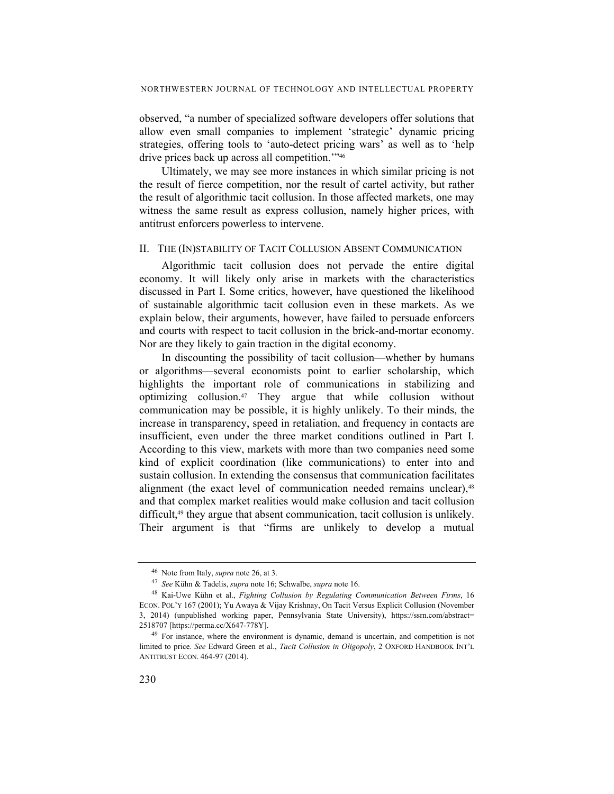observed, "a number of specialized software developers offer solutions that allow even small companies to implement 'strategic' dynamic pricing strategies, offering tools to 'auto-detect pricing wars' as well as to 'help drive prices back up across all competition.'"46

Ultimately, we may see more instances in which similar pricing is not the result of fierce competition, nor the result of cartel activity, but rather the result of algorithmic tacit collusion. In those affected markets, one may witness the same result as express collusion, namely higher prices, with antitrust enforcers powerless to intervene.

#### II. THE (IN)STABILITY OF TACIT COLLUSION ABSENT COMMUNICATION

Algorithmic tacit collusion does not pervade the entire digital economy. It will likely only arise in markets with the characteristics discussed in Part I. Some critics, however, have questioned the likelihood of sustainable algorithmic tacit collusion even in these markets. As we explain below, their arguments, however, have failed to persuade enforcers and courts with respect to tacit collusion in the brick-and-mortar economy. Nor are they likely to gain traction in the digital economy.

In discounting the possibility of tacit collusion—whether by humans or algorithms—several economists point to earlier scholarship, which highlights the important role of communications in stabilizing and optimizing collusion.47 They argue that while collusion without communication may be possible, it is highly unlikely. To their minds, the increase in transparency, speed in retaliation, and frequency in contacts are insufficient, even under the three market conditions outlined in Part I. According to this view, markets with more than two companies need some kind of explicit coordination (like communications) to enter into and sustain collusion. In extending the consensus that communication facilitates alignment (the exact level of communication needed remains unclear),<sup>48</sup> and that complex market realities would make collusion and tacit collusion difficult,<sup>49</sup> they argue that absent communication, tacit collusion is unlikely. Their argument is that "firms are unlikely to develop a mutual

<sup>46</sup> Note from Italy, *supra* note 26, at 3.

<sup>47</sup> *See* Kühn & Tadelis, *supra* note 16; Schwalbe, *supra* note 16. 48 Kai-Uwe Kühn et al., *Fighting Collusion by Regulating Communication Between Firms*, 16 ECON. POL'Y 167 (2001); Yu Awaya & Vijay Krishnay, On Tacit Versus Explicit Collusion (November 3, 2014) (unpublished working paper, Pennsylvania State University), https://ssrn.com/abstract= 2518707 [https://perma.cc/X647-778Y].

<sup>&</sup>lt;sup>49</sup> For instance, where the environment is dynamic, demand is uncertain, and competition is not limited to price. *See* Edward Green et al., *Tacit Collusion in Oligopoly*, 2 OXFORD HANDBOOK INT'L ANTITRUST ECON. 464-97 (2014).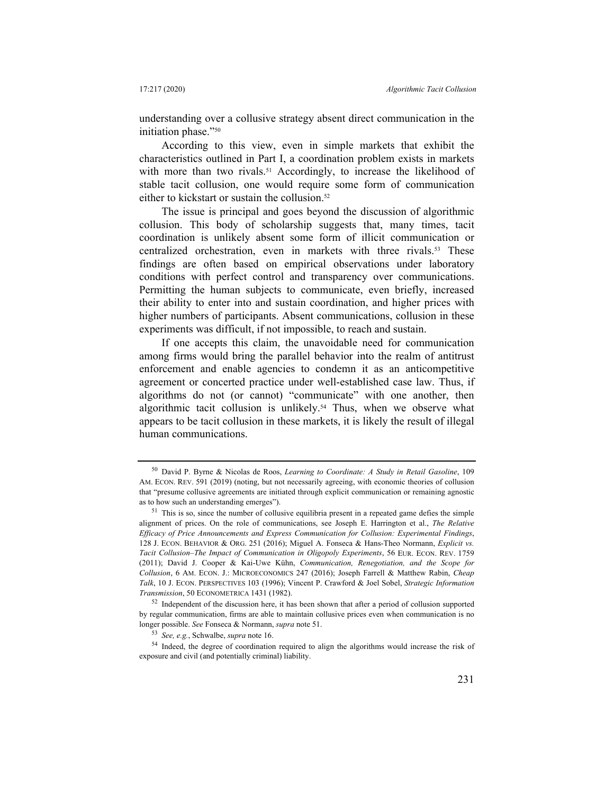understanding over a collusive strategy absent direct communication in the initiation phase."50

According to this view, even in simple markets that exhibit the characteristics outlined in Part I, a coordination problem exists in markets with more than two rivals.<sup>51</sup> Accordingly, to increase the likelihood of stable tacit collusion, one would require some form of communication either to kickstart or sustain the collusion.52

The issue is principal and goes beyond the discussion of algorithmic collusion. This body of scholarship suggests that, many times, tacit coordination is unlikely absent some form of illicit communication or centralized orchestration, even in markets with three rivals.53 These findings are often based on empirical observations under laboratory conditions with perfect control and transparency over communications. Permitting the human subjects to communicate, even briefly, increased their ability to enter into and sustain coordination, and higher prices with higher numbers of participants. Absent communications, collusion in these experiments was difficult, if not impossible, to reach and sustain.

If one accepts this claim, the unavoidable need for communication among firms would bring the parallel behavior into the realm of antitrust enforcement and enable agencies to condemn it as an anticompetitive agreement or concerted practice under well-established case law. Thus, if algorithms do not (or cannot) "communicate" with one another, then algorithmic tacit collusion is unlikely.<sup>54</sup> Thus, when we observe what appears to be tacit collusion in these markets, it is likely the result of illegal human communications.

<sup>52</sup> Independent of the discussion here, it has been shown that after a period of collusion supported by regular communication, firms are able to maintain collusive prices even when communication is no longer possible. *See* Fonseca & Normann, *supra* note 51.

<sup>50</sup> David P. Byrne & Nicolas de Roos, *Learning to Coordinate: A Study in Retail Gasoline*, 109 AM. ECON. REV. 591 (2019) (noting, but not necessarily agreeing, with economic theories of collusion that "presume collusive agreements are initiated through explicit communication or remaining agnostic as to how such an understanding emerges").

<sup>&</sup>lt;sup>51</sup> This is so, since the number of collusive equilibria present in a repeated game defies the simple alignment of prices. On the role of communications, see Joseph E. Harrington et al., *The Relative Efficacy of Price Announcements and Express Communication for Collusion: Experimental Findings*, 128 J. ECON. BEHAVIOR & ORG. 251 (2016); Miguel A. Fonseca & Hans-Theo Normann, *Explicit vs. Tacit Collusion–The Impact of Communication in Oligopoly Experiments*, 56 EUR. ECON. REV. 1759 (2011); David J. Cooper & Kai-Uwe Kühn, *Communication, Renegotiation, and the Scope for Collusion*, 6 AM. ECON. J.: MICROECONOMICS 247 (2016); Joseph Farrell & Matthew Rabin, *Cheap Talk*, 10 J. ECON. PERSPECTIVES 103 (1996); Vincent P. Crawford & Joel Sobel, *Strategic Information Transmission*, 50 ECONOMETRICA 1431 (1982).

<sup>53</sup> *See, e.g.*, Schwalbe, *supra* note 16.

<sup>54</sup> Indeed, the degree of coordination required to align the algorithms would increase the risk of exposure and civil (and potentially criminal) liability.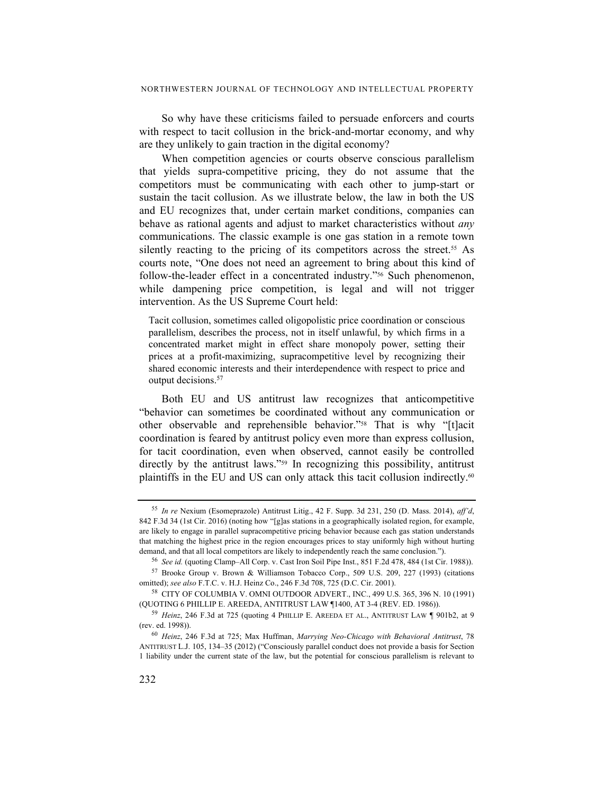So why have these criticisms failed to persuade enforcers and courts with respect to tacit collusion in the brick-and-mortar economy, and why are they unlikely to gain traction in the digital economy?

When competition agencies or courts observe conscious parallelism that yields supra-competitive pricing, they do not assume that the competitors must be communicating with each other to jump-start or sustain the tacit collusion. As we illustrate below, the law in both the US and EU recognizes that, under certain market conditions, companies can behave as rational agents and adjust to market characteristics without *any* communications. The classic example is one gas station in a remote town silently reacting to the pricing of its competitors across the street.<sup>55</sup> As courts note, "One does not need an agreement to bring about this kind of follow-the-leader effect in a concentrated industry."56 Such phenomenon, while dampening price competition, is legal and will not trigger intervention. As the US Supreme Court held:

Tacit collusion, sometimes called oligopolistic price coordination or conscious parallelism, describes the process, not in itself unlawful, by which firms in a concentrated market might in effect share monopoly power, setting their prices at a profit-maximizing, supracompetitive level by recognizing their shared economic interests and their interdependence with respect to price and output decisions.<sup>57</sup>

Both EU and US antitrust law recognizes that anticompetitive "behavior can sometimes be coordinated without any communication or other observable and reprehensible behavior."58 That is why "[t]acit coordination is feared by antitrust policy even more than express collusion, for tacit coordination, even when observed, cannot easily be controlled directly by the antitrust laws."<sup>59</sup> In recognizing this possibility, antitrust plaintiffs in the EU and US can only attack this tacit collusion indirectly.60

<sup>55</sup> *In re* Nexium (Esomeprazole) Antitrust Litig., 42 F. Supp. 3d 231, 250 (D. Mass. 2014), *aff'd*, 842 F.3d 34 (1st Cir. 2016) (noting how "[g]as stations in a geographically isolated region, for example, are likely to engage in parallel supracompetitive pricing behavior because each gas station understands that matching the highest price in the region encourages prices to stay uniformly high without hurting demand, and that all local competitors are likely to independently reach the same conclusion.").

<sup>56</sup> *See id.* (quoting Clamp–All Corp. v. Cast Iron Soil Pipe Inst., 851 F.2d 478, 484 (1st Cir. 1988)).

<sup>57</sup> Brooke Group v. Brown & Williamson Tobacco Corp., 509 U.S. 209, 227 (1993) (citations omitted); *see also* F.T.C. v. H.J. Heinz Co., 246 F.3d 708, 725 (D.C. Cir. 2001).

<sup>58</sup> CITY OF COLUMBIA V. OMNI OUTDOOR ADVERT., INC., 499 U.S. 365, 396 N. 10 (1991) (QUOTING 6 PHILLIP E. AREEDA, ANTITRUST LAW ¶1400, AT 3-4 (REV. ED. 1986)).

<sup>59</sup> *Heinz*, 246 F.3d at 725 (quoting 4 PHILLIP E. AREEDA ET AL., ANTITRUST LAW ¶ 901b2, at 9 (rev. ed. 1998)).

<sup>60</sup> *Heinz*, 246 F.3d at 725; Max Huffman, *Marrying Neo-Chicago with Behavioral Antitrust*, 78 ANTITRUST L.J. 105, 134–35 (2012) ("Consciously parallel conduct does not provide a basis for Section 1 liability under the current state of the law, but the potential for conscious parallelism is relevant to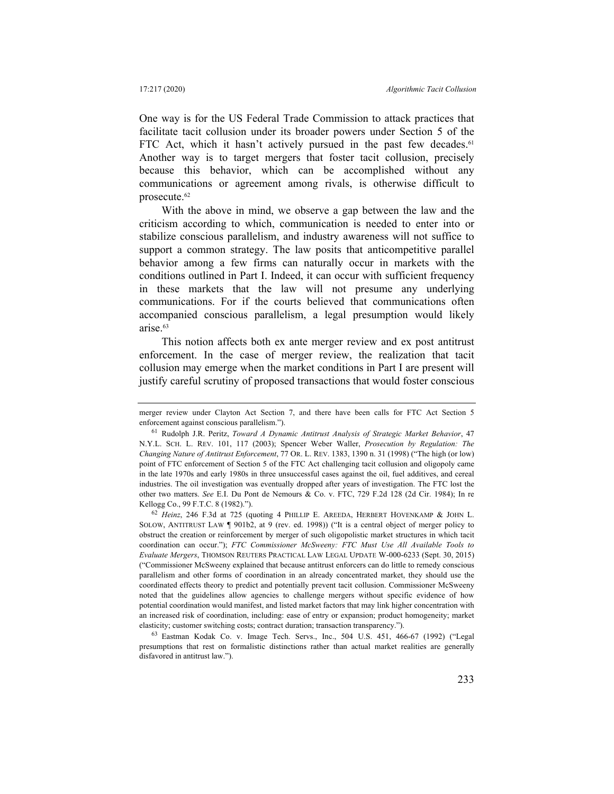One way is for the US Federal Trade Commission to attack practices that facilitate tacit collusion under its broader powers under Section 5 of the FTC Act, which it hasn't actively pursued in the past few decades.<sup>61</sup> Another way is to target mergers that foster tacit collusion, precisely because this behavior, which can be accomplished without any communications or agreement among rivals, is otherwise difficult to prosecute.62

With the above in mind, we observe a gap between the law and the criticism according to which, communication is needed to enter into or stabilize conscious parallelism, and industry awareness will not suffice to support a common strategy. The law posits that anticompetitive parallel behavior among a few firms can naturally occur in markets with the conditions outlined in Part I. Indeed, it can occur with sufficient frequency in these markets that the law will not presume any underlying communications. For if the courts believed that communications often accompanied conscious parallelism, a legal presumption would likely arise.63

This notion affects both ex ante merger review and ex post antitrust enforcement. In the case of merger review, the realization that tacit collusion may emerge when the market conditions in Part I are present will justify careful scrutiny of proposed transactions that would foster conscious

<sup>62</sup> *Heinz*, 246 F.3d at 725 (quoting 4 PHILLIP E. AREEDA, HERBERT HOVENKAMP & JOHN L. SOLOW, ANTITRUST LAW ¶ 901b2, at 9 (rev. ed. 1998)) ("It is a central object of merger policy to obstruct the creation or reinforcement by merger of such oligopolistic market structures in which tacit coordination can occur."); *FTC Commissioner McSweeny: FTC Must Use All Available Tools to Evaluate Mergers*, THOMSON REUTERS PRACTICAL LAW LEGAL UPDATE W-000-6233 (Sept. 30, 2015) ("Commissioner McSweeny explained that because antitrust enforcers can do little to remedy conscious parallelism and other forms of coordination in an already concentrated market, they should use the coordinated effects theory to predict and potentially prevent tacit collusion. Commissioner McSweeny noted that the guidelines allow agencies to challenge mergers without specific evidence of how potential coordination would manifest, and listed market factors that may link higher concentration with an increased risk of coordination, including: ease of entry or expansion; product homogeneity; market elasticity; customer switching costs; contract duration; transaction transparency.").

63 Eastman Kodak Co. v. Image Tech. Servs., Inc., 504 U.S. 451, 466-67 (1992) ("Legal presumptions that rest on formalistic distinctions rather than actual market realities are generally disfavored in antitrust law.").

merger review under Clayton Act Section 7, and there have been calls for FTC Act Section 5 enforcement against conscious parallelism.").

<sup>61</sup> Rudolph J.R. Peritz, *Toward A Dynamic Antitrust Analysis of Strategic Market Behavior*, 47 N.Y.L. SCH. L. REV. 101, 117 (2003); Spencer Weber Waller, *Prosecution by Regulation: The Changing Nature of Antitrust Enforcement*, 77 OR. L. REV. 1383, 1390 n. 31 (1998) ("The high (or low) point of FTC enforcement of Section 5 of the FTC Act challenging tacit collusion and oligopoly came in the late 1970s and early 1980s in three unsuccessful cases against the oil, fuel additives, and cereal industries. The oil investigation was eventually dropped after years of investigation. The FTC lost the other two matters. *See* E.I. Du Pont de Nemours & Co. v. FTC, 729 F.2d 128 (2d Cir. 1984); In re Kellogg Co., 99 F.T.C. 8 (1982).").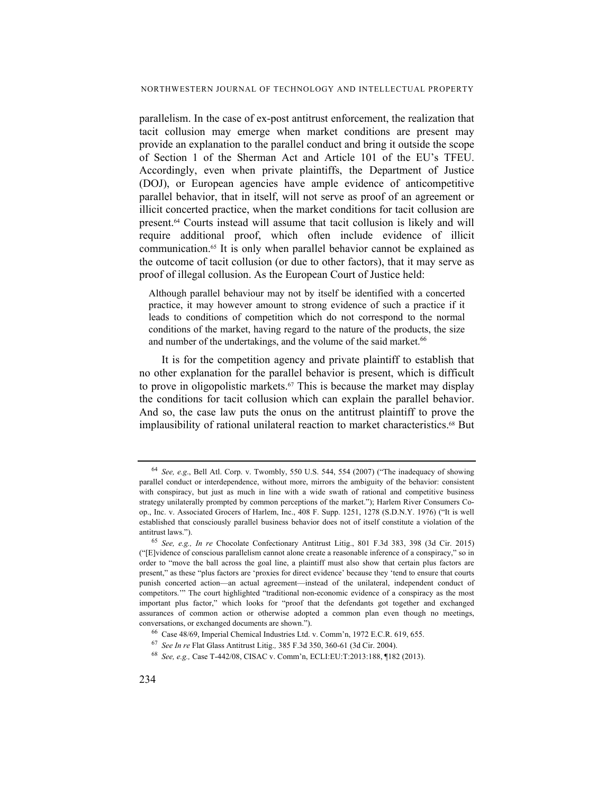parallelism. In the case of ex-post antitrust enforcement, the realization that tacit collusion may emerge when market conditions are present may provide an explanation to the parallel conduct and bring it outside the scope of Section 1 of the Sherman Act and Article 101 of the EU's TFEU. Accordingly, even when private plaintiffs, the Department of Justice (DOJ), or European agencies have ample evidence of anticompetitive parallel behavior, that in itself, will not serve as proof of an agreement or illicit concerted practice, when the market conditions for tacit collusion are present.64 Courts instead will assume that tacit collusion is likely and will require additional proof, which often include evidence of illicit communication.65 It is only when parallel behavior cannot be explained as the outcome of tacit collusion (or due to other factors), that it may serve as proof of illegal collusion. As the European Court of Justice held:

Although parallel behaviour may not by itself be identified with a concerted practice, it may however amount to strong evidence of such a practice if it leads to conditions of competition which do not correspond to the normal conditions of the market, having regard to the nature of the products, the size and number of the undertakings, and the volume of the said market.<sup>66</sup>

It is for the competition agency and private plaintiff to establish that no other explanation for the parallel behavior is present, which is difficult to prove in oligopolistic markets.67 This is because the market may display the conditions for tacit collusion which can explain the parallel behavior. And so, the case law puts the onus on the antitrust plaintiff to prove the implausibility of rational unilateral reaction to market characteristics.<sup>68</sup> But

<sup>64</sup> *See, e.g*., Bell Atl. Corp. v. Twombly, 550 U.S. 544, 554 (2007) ("The inadequacy of showing parallel conduct or interdependence, without more, mirrors the ambiguity of the behavior: consistent with conspiracy, but just as much in line with a wide swath of rational and competitive business strategy unilaterally prompted by common perceptions of the market."); Harlem River Consumers Coop., Inc. v. Associated Grocers of Harlem, Inc., 408 F. Supp. 1251, 1278 (S.D.N.Y. 1976) ("It is well established that consciously parallel business behavior does not of itself constitute a violation of the antitrust laws.").

<sup>65</sup> *See, e.g., In re* Chocolate Confectionary Antitrust Litig., 801 F.3d 383, 398 (3d Cir. 2015) ("[E]vidence of conscious parallelism cannot alone create a reasonable inference of a conspiracy," so in order to "move the ball across the goal line, a plaintiff must also show that certain plus factors are present," as these "plus factors are 'proxies for direct evidence' because they 'tend to ensure that courts punish concerted action—an actual agreement—instead of the unilateral, independent conduct of competitors.'" The court highlighted "traditional non-economic evidence of a conspiracy as the most important plus factor," which looks for "proof that the defendants got together and exchanged assurances of common action or otherwise adopted a common plan even though no meetings, conversations, or exchanged documents are shown.").

<sup>66</sup> Case 48/69, Imperial Chemical Industries Ltd. v. Comm'n, 1972 E.C.R. 619, 655.

<sup>67</sup> *See In re* Flat Glass Antitrust Litig.*,* 385 F.3d 350, 360-61 (3d Cir. 2004).

<sup>68</sup> *See, e.g.,* Case T‑442/08, CISAC v. Comm'n, ECLI:EU:T:2013:188, ¶182 (2013).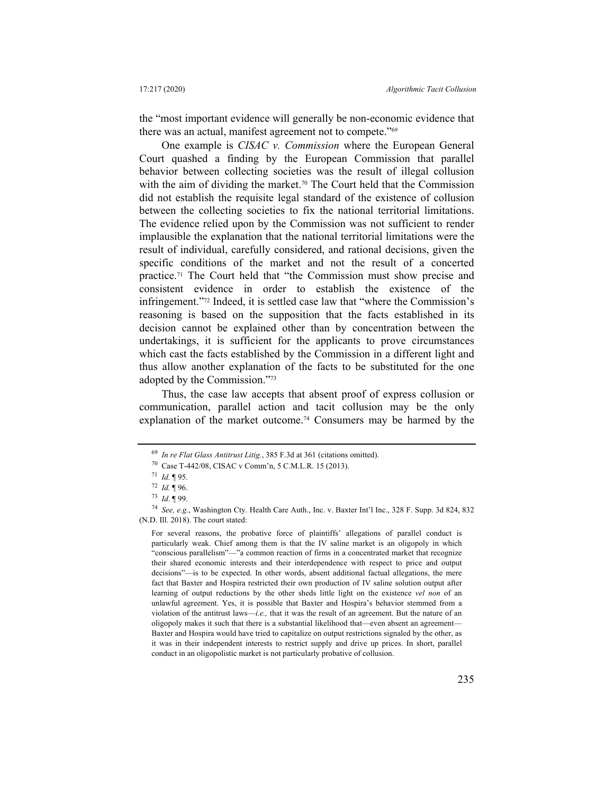the "most important evidence will generally be non-economic evidence that there was an actual, manifest agreement not to compete."<sup>69</sup>

One example is *CISAC v. Commission* where the European General Court quashed a finding by the European Commission that parallel behavior between collecting societies was the result of illegal collusion with the aim of dividing the market.<sup>70</sup> The Court held that the Commission did not establish the requisite legal standard of the existence of collusion between the collecting societies to fix the national territorial limitations. The evidence relied upon by the Commission was not sufficient to render implausible the explanation that the national territorial limitations were the result of individual, carefully considered, and rational decisions, given the specific conditions of the market and not the result of a concerted practice.71 The Court held that "the Commission must show precise and consistent evidence in order to establish the existence of the infringement."72 Indeed, it is settled case law that "where the Commission's reasoning is based on the supposition that the facts established in its decision cannot be explained other than by concentration between the undertakings, it is sufficient for the applicants to prove circumstances which cast the facts established by the Commission in a different light and thus allow another explanation of the facts to be substituted for the one adopted by the Commission."73

Thus, the case law accepts that absent proof of express collusion or communication, parallel action and tacit collusion may be the only explanation of the market outcome.74 Consumers may be harmed by the

<sup>69</sup> *In re Flat Glass Antitrust Litig.*, 385 F.3d at 361 (citations omitted).

<sup>70</sup> Case T‑442/08, CISAC v Comm'n, 5 C.M.L.R. 15 (2013).

<sup>71</sup> *Id.* ¶ 95. 72 *Id.* ¶ 96.

<sup>73</sup> *Id*. ¶ 99.

<sup>74</sup> *See, e.g.*, Washington Cty. Health Care Auth., Inc. v. Baxter Int'l Inc., 328 F. Supp. 3d 824, 832 (N.D. Ill. 2018). The court stated:

For several reasons, the probative force of plaintiffs' allegations of parallel conduct is particularly weak. Chief among them is that the IV saline market is an oligopoly in which "conscious parallelism"—"a common reaction of firms in a concentrated market that recognize their shared economic interests and their interdependence with respect to price and output decisions"—is to be expected. In other words, absent additional factual allegations, the mere fact that Baxter and Hospira restricted their own production of IV saline solution output after learning of output reductions by the other sheds little light on the existence *vel non* of an unlawful agreement. Yes, it is possible that Baxter and Hospira's behavior stemmed from a violation of the antitrust laws—*i.e.,* that it was the result of an agreement. But the nature of an oligopoly makes it such that there is a substantial likelihood that—even absent an agreement— Baxter and Hospira would have tried to capitalize on output restrictions signaled by the other, as it was in their independent interests to restrict supply and drive up prices. In short, parallel conduct in an oligopolistic market is not particularly probative of collusion.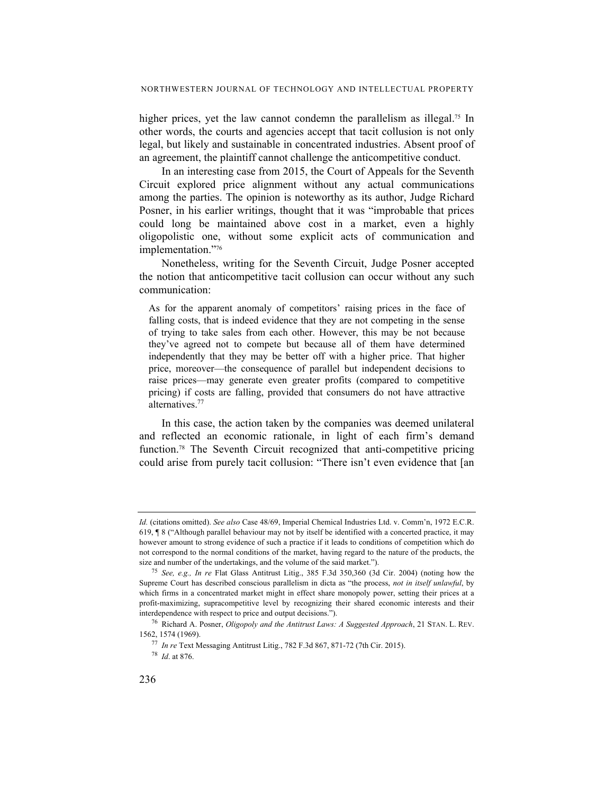higher prices, yet the law cannot condemn the parallelism as illegal.<sup>75</sup> In other words, the courts and agencies accept that tacit collusion is not only legal, but likely and sustainable in concentrated industries. Absent proof of an agreement, the plaintiff cannot challenge the anticompetitive conduct.

In an interesting case from 2015, the Court of Appeals for the Seventh Circuit explored price alignment without any actual communications among the parties. The opinion is noteworthy as its author, Judge Richard Posner, in his earlier writings, thought that it was "improbable that prices could long be maintained above cost in a market, even a highly oligopolistic one, without some explicit acts of communication and implementation."76

Nonetheless, writing for the Seventh Circuit, Judge Posner accepted the notion that anticompetitive tacit collusion can occur without any such communication:

As for the apparent anomaly of competitors' raising prices in the face of falling costs, that is indeed evidence that they are not competing in the sense of trying to take sales from each other. However, this may be not because they've agreed not to compete but because all of them have determined independently that they may be better off with a higher price. That higher price, moreover—the consequence of parallel but independent decisions to raise prices—may generate even greater profits (compared to competitive pricing) if costs are falling, provided that consumers do not have attractive alternatives.77

In this case, the action taken by the companies was deemed unilateral and reflected an economic rationale, in light of each firm's demand function.78 The Seventh Circuit recognized that anti-competitive pricing could arise from purely tacit collusion: "There isn't even evidence that [an

*Id.* (citations omitted). *See also* Case 48/69, Imperial Chemical Industries Ltd. v. Comm'n, 1972 E.C.R. 619, ¶ 8 ("Although parallel behaviour may not by itself be identified with a concerted practice, it may however amount to strong evidence of such a practice if it leads to conditions of competition which do not correspond to the normal conditions of the market, having regard to the nature of the products, the size and number of the undertakings, and the volume of the said market.").

<sup>75</sup> *See, e.g., In re* Flat Glass Antitrust Litig., 385 F.3d 350,360 (3d Cir. 2004) (noting how the Supreme Court has described conscious parallelism in dicta as "the process, *not in itself unlawful*, by which firms in a concentrated market might in effect share monopoly power, setting their prices at a profit-maximizing, supracompetitive level by recognizing their shared economic interests and their interdependence with respect to price and output decisions.").

<sup>76</sup> Richard A. Posner, *Oligopoly and the Antitrust Laws: A Suggested Approach*, 21 STAN. L. REV. 1562, 1574 (1969).

<sup>77</sup> *In re* Text Messaging Antitrust Litig., 782 F.3d 867, 871-72 (7th Cir. 2015).

<sup>78</sup> *Id*. at 876.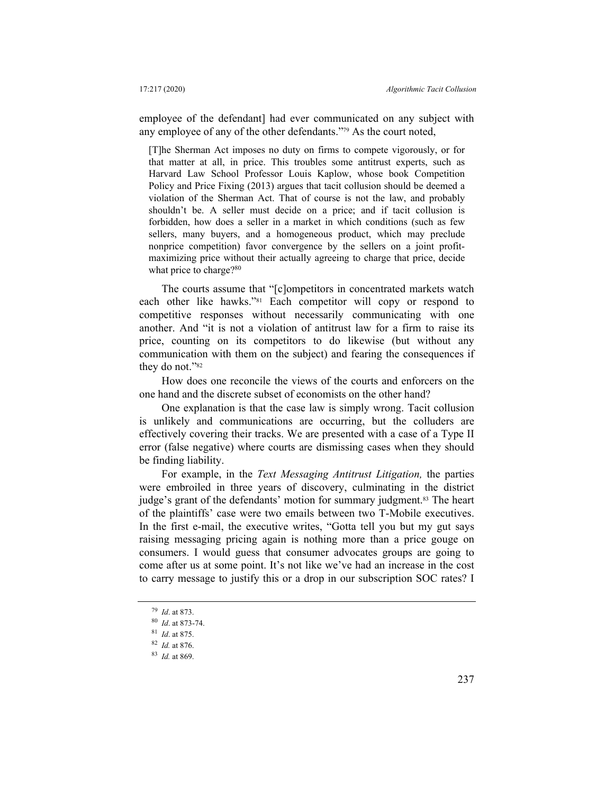employee of the defendant] had ever communicated on any subject with any employee of any of the other defendants."79 As the court noted,

[T]he Sherman Act imposes no duty on firms to compete vigorously, or for that matter at all, in price. This troubles some antitrust experts, such as Harvard Law School Professor Louis Kaplow, whose book Competition Policy and Price Fixing (2013) argues that tacit collusion should be deemed a violation of the Sherman Act. That of course is not the law, and probably shouldn't be. A seller must decide on a price; and if tacit collusion is forbidden, how does a seller in a market in which conditions (such as few sellers, many buyers, and a homogeneous product, which may preclude nonprice competition) favor convergence by the sellers on a joint profitmaximizing price without their actually agreeing to charge that price, decide what price to charge?<sup>80</sup>

The courts assume that "[c]ompetitors in concentrated markets watch each other like hawks."81 Each competitor will copy or respond to competitive responses without necessarily communicating with one another. And "it is not a violation of antitrust law for a firm to raise its price, counting on its competitors to do likewise (but without any communication with them on the subject) and fearing the consequences if they do not."82

How does one reconcile the views of the courts and enforcers on the one hand and the discrete subset of economists on the other hand?

One explanation is that the case law is simply wrong. Tacit collusion is unlikely and communications are occurring, but the colluders are effectively covering their tracks. We are presented with a case of a Type II error (false negative) where courts are dismissing cases when they should be finding liability.

For example, in the *Text Messaging Antitrust Litigation,* the parties were embroiled in three years of discovery, culminating in the district judge's grant of the defendants' motion for summary judgment.<sup>83</sup> The heart of the plaintiffs' case were two emails between two T-Mobile executives. In the first e-mail, the executive writes, "Gotta tell you but my gut says raising messaging pricing again is nothing more than a price gouge on consumers. I would guess that consumer advocates groups are going to come after us at some point. It's not like we've had an increase in the cost to carry message to justify this or a drop in our subscription SOC rates? I

<sup>79</sup> *Id*. at 873.

<sup>80</sup> *Id*. at 873-74.

<sup>81</sup> *Id*. at 875.

<sup>82</sup> *Id.* at 876.

<sup>83</sup> *Id.* at 869.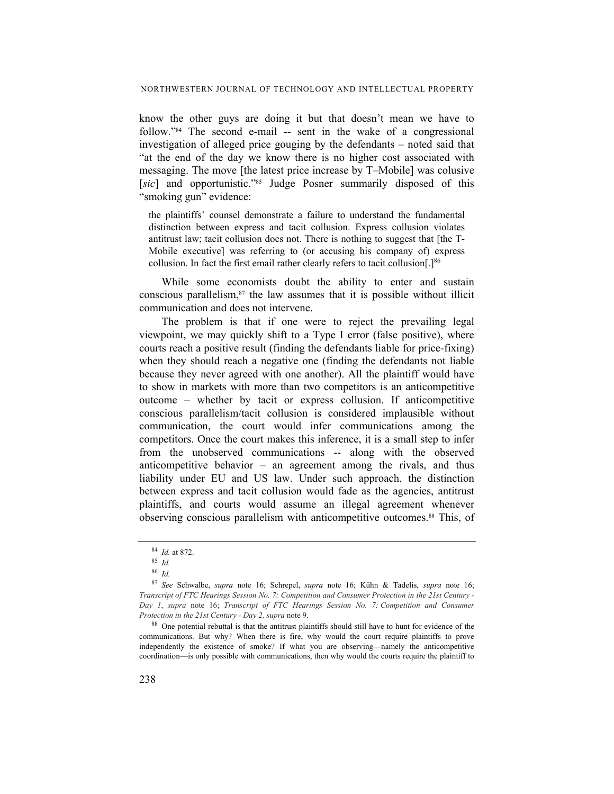know the other guys are doing it but that doesn't mean we have to follow."84 The second e-mail -- sent in the wake of a congressional investigation of alleged price gouging by the defendants – noted said that "at the end of the day we know there is no higher cost associated with messaging. The move [the latest price increase by T–Mobile] was colusive [sic] and opportunistic."<sup>85</sup> Judge Posner summarily disposed of this "smoking gun" evidence:

the plaintiffs' counsel demonstrate a failure to understand the fundamental distinction between express and tacit collusion. Express collusion violates antitrust law; tacit collusion does not. There is nothing to suggest that [the T-Mobile executive] was referring to (or accusing his company of) express collusion. In fact the first email rather clearly refers to tacit collusion[.]<sup>86</sup>

While some economists doubt the ability to enter and sustain conscious parallelism, $87$  the law assumes that it is possible without illicit communication and does not intervene.

The problem is that if one were to reject the prevailing legal viewpoint, we may quickly shift to a Type I error (false positive), where courts reach a positive result (finding the defendants liable for price-fixing) when they should reach a negative one (finding the defendants not liable because they never agreed with one another). All the plaintiff would have to show in markets with more than two competitors is an anticompetitive outcome – whether by tacit or express collusion. If anticompetitive conscious parallelism/tacit collusion is considered implausible without communication, the court would infer communications among the competitors. Once the court makes this inference, it is a small step to infer from the unobserved communications -- along with the observed anticompetitive behavior – an agreement among the rivals, and thus liability under EU and US law. Under such approach, the distinction between express and tacit collusion would fade as the agencies, antitrust plaintiffs, and courts would assume an illegal agreement whenever observing conscious parallelism with anticompetitive outcomes.<sup>88</sup> This, of

88 One potential rebuttal is that the antitrust plaintiffs should still have to hunt for evidence of the communications. But why? When there is fire, why would the court require plaintiffs to prove independently the existence of smoke? If what you are observing—namely the anticompetitive coordination—is only possible with communications, then why would the courts require the plaintiff to

<sup>84</sup> *Id.* at 872.

<sup>85</sup> *Id.*

<sup>86</sup> *Id.*

<sup>87</sup> *See* Schwalbe, *supra* note 16; Schrepel, *supra* note 16; Kühn & Tadelis, *supra* note 16; *Transcript of FTC Hearings Session No. 7: Competition and Consumer Protection in the 21st Century - Day 1*, *supra* note 16; *Transcript of FTC Hearings Session No. 7: Competition and Consumer Protection in the 21st Century - Day 2, supra* note 9.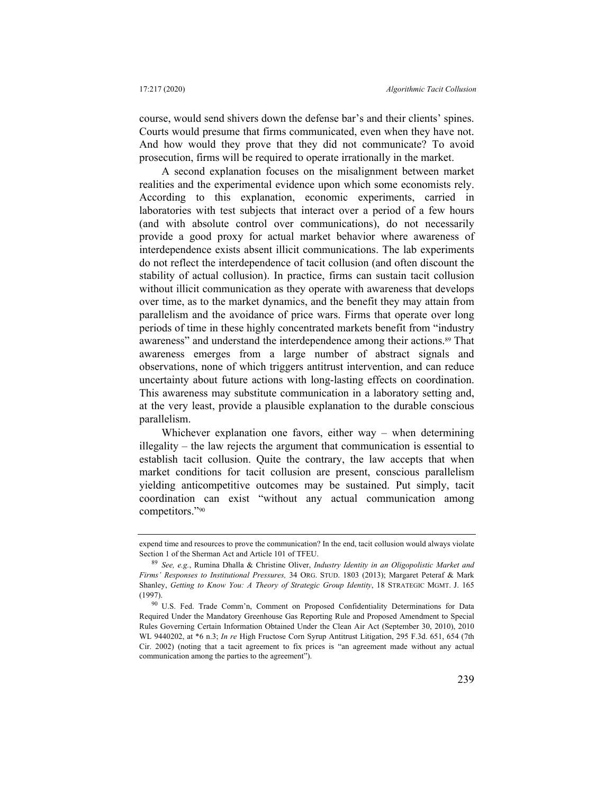course, would send shivers down the defense bar's and their clients' spines. Courts would presume that firms communicated, even when they have not. And how would they prove that they did not communicate? To avoid prosecution, firms will be required to operate irrationally in the market.

A second explanation focuses on the misalignment between market realities and the experimental evidence upon which some economists rely. According to this explanation, economic experiments, carried in laboratories with test subjects that interact over a period of a few hours (and with absolute control over communications), do not necessarily provide a good proxy for actual market behavior where awareness of interdependence exists absent illicit communications. The lab experiments do not reflect the interdependence of tacit collusion (and often discount the stability of actual collusion). In practice, firms can sustain tacit collusion without illicit communication as they operate with awareness that develops over time, as to the market dynamics, and the benefit they may attain from parallelism and the avoidance of price wars. Firms that operate over long periods of time in these highly concentrated markets benefit from "industry awareness" and understand the interdependence among their actions.<sup>89</sup> That awareness emerges from a large number of abstract signals and observations, none of which triggers antitrust intervention, and can reduce uncertainty about future actions with long-lasting effects on coordination. This awareness may substitute communication in a laboratory setting and, at the very least, provide a plausible explanation to the durable conscious parallelism.

Whichever explanation one favors, either way – when determining illegality – the law rejects the argument that communication is essential to establish tacit collusion. Quite the contrary, the law accepts that when market conditions for tacit collusion are present, conscious parallelism yielding anticompetitive outcomes may be sustained. Put simply, tacit coordination can exist "without any actual communication among competitors."90

expend time and resources to prove the communication? In the end, tacit collusion would always violate Section 1 of the Sherman Act and Article 101 of TFEU.

<sup>89</sup> *See, e.g.*, Rumina Dhalla & Christine Oliver, *Industry Identity in an Oligopolistic Market and Firms' Responses to Institutional Pressures,* 34 ORG. STUD. 1803 (2013); Margaret Peteraf & Mark Shanley, *Getting to Know You: A Theory of Strategic Group Identity*, 18 STRATEGIC MGMT. J. 165 (1997).

<sup>90</sup> U.S. Fed. Trade Comm'n, Comment on Proposed Confidentiality Determinations for Data Required Under the Mandatory Greenhouse Gas Reporting Rule and Proposed Amendment to Special Rules Governing Certain Information Obtained Under the Clean Air Act (September 30, 2010), 2010 WL 9440202, at \*6 n.3; *In re* High Fructose Corn Syrup Antitrust Litigation, 295 F.3d. 651, 654 (7th Cir. 2002) (noting that a tacit agreement to fix prices is "an agreement made without any actual communication among the parties to the agreement").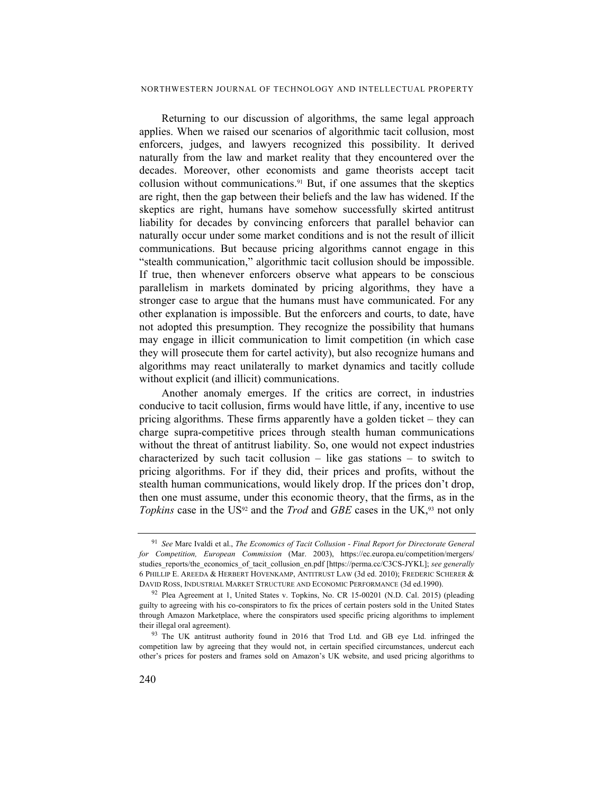#### NORTHWESTERN JOURNAL OF TECHNOLOGY AND INTELLECTUAL PROPERTY

Returning to our discussion of algorithms, the same legal approach applies. When we raised our scenarios of algorithmic tacit collusion, most enforcers, judges, and lawyers recognized this possibility. It derived naturally from the law and market reality that they encountered over the decades. Moreover, other economists and game theorists accept tacit collusion without communications.91 But, if one assumes that the skeptics are right, then the gap between their beliefs and the law has widened. If the skeptics are right, humans have somehow successfully skirted antitrust liability for decades by convincing enforcers that parallel behavior can naturally occur under some market conditions and is not the result of illicit communications. But because pricing algorithms cannot engage in this "stealth communication," algorithmic tacit collusion should be impossible. If true, then whenever enforcers observe what appears to be conscious parallelism in markets dominated by pricing algorithms, they have a stronger case to argue that the humans must have communicated. For any other explanation is impossible. But the enforcers and courts, to date, have not adopted this presumption. They recognize the possibility that humans may engage in illicit communication to limit competition (in which case they will prosecute them for cartel activity), but also recognize humans and algorithms may react unilaterally to market dynamics and tacitly collude without explicit (and illicit) communications.

Another anomaly emerges. If the critics are correct, in industries conducive to tacit collusion, firms would have little, if any, incentive to use pricing algorithms. These firms apparently have a golden ticket – they can charge supra-competitive prices through stealth human communications without the threat of antitrust liability. So, one would not expect industries characterized by such tacit collusion – like gas stations – to switch to pricing algorithms. For if they did, their prices and profits, without the stealth human communications, would likely drop. If the prices don't drop, then one must assume, under this economic theory, that the firms, as in the *Topkins* case in the US<sup>92</sup> and the *Trod* and *GBE* cases in the UK,<sup>93</sup> not only

<sup>91</sup> *See* Marc Ivaldi et al., *The Economics of Tacit Collusion - Final Report for Directorate General for Competition, European Commission* (Mar. 2003), https://ec.europa.eu/competition/mergers/ studies reports/the economics of tacit collusion en.pdf [https://perma.cc/C3CS-JYKL]; *see generally* 6 PHILLIP E. AREEDA & HERBERT HOVENKAMP, ANTITRUST LAW (3d ed. 2010); FREDERIC SCHERER & DAVID ROSS, INDUSTRIAL MARKET STRUCTURE AND ECONOMIC PERFORMANCE (3d ed.1990). 92 Plea Agreement at 1, United States v. Topkins, No. CR 15-00201 (N.D. Cal. 2015) (pleading

guilty to agreeing with his co-conspirators to fix the prices of certain posters sold in the United States through Amazon Marketplace, where the conspirators used specific pricing algorithms to implement their illegal oral agreement).

<sup>93</sup> The UK antitrust authority found in 2016 that Trod Ltd. and GB eye Ltd. infringed the competition law by agreeing that they would not, in certain specified circumstances, undercut each other's prices for posters and frames sold on Amazon's UK website, and used pricing algorithms to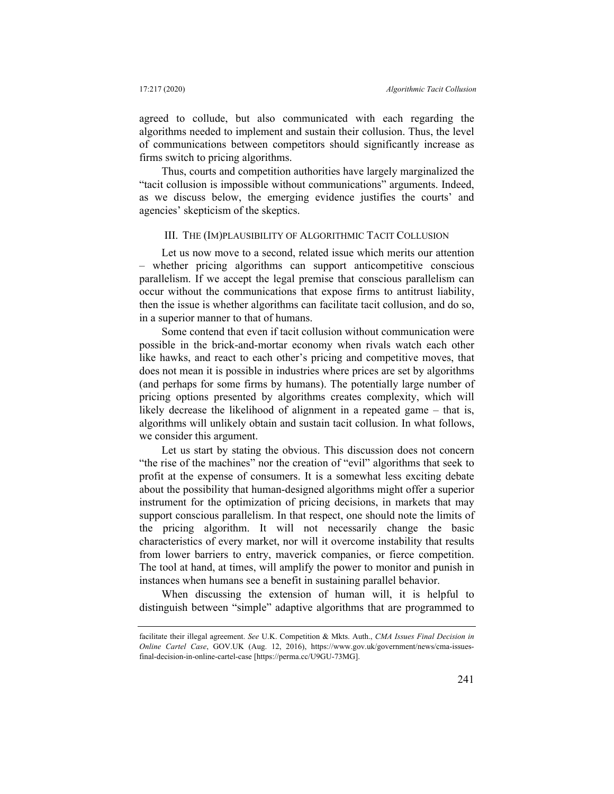agreed to collude, but also communicated with each regarding the algorithms needed to implement and sustain their collusion. Thus, the level of communications between competitors should significantly increase as firms switch to pricing algorithms.

Thus, courts and competition authorities have largely marginalized the "tacit collusion is impossible without communications" arguments. Indeed, as we discuss below, the emerging evidence justifies the courts' and agencies' skepticism of the skeptics.

#### III. THE (IM)PLAUSIBILITY OF ALGORITHMIC TACIT COLLUSION

Let us now move to a second, related issue which merits our attention – whether pricing algorithms can support anticompetitive conscious parallelism. If we accept the legal premise that conscious parallelism can occur without the communications that expose firms to antitrust liability, then the issue is whether algorithms can facilitate tacit collusion, and do so, in a superior manner to that of humans.

Some contend that even if tacit collusion without communication were possible in the brick-and-mortar economy when rivals watch each other like hawks, and react to each other's pricing and competitive moves, that does not mean it is possible in industries where prices are set by algorithms (and perhaps for some firms by humans). The potentially large number of pricing options presented by algorithms creates complexity, which will likely decrease the likelihood of alignment in a repeated game – that is, algorithms will unlikely obtain and sustain tacit collusion. In what follows, we consider this argument.

Let us start by stating the obvious. This discussion does not concern "the rise of the machines" nor the creation of "evil" algorithms that seek to profit at the expense of consumers. It is a somewhat less exciting debate about the possibility that human-designed algorithms might offer a superior instrument for the optimization of pricing decisions, in markets that may support conscious parallelism. In that respect, one should note the limits of the pricing algorithm. It will not necessarily change the basic characteristics of every market, nor will it overcome instability that results from lower barriers to entry, maverick companies, or fierce competition. The tool at hand, at times, will amplify the power to monitor and punish in instances when humans see a benefit in sustaining parallel behavior.

When discussing the extension of human will, it is helpful to distinguish between "simple" adaptive algorithms that are programmed to

facilitate their illegal agreement. *See* U.K. Competition & Mkts. Auth., *CMA Issues Final Decision in Online Cartel Case*, GOV.UK (Aug. 12, 2016), https://www.gov.uk/government/news/cma-issuesfinal-decision-in-online-cartel-case [https://perma.cc/U9GU-73MG].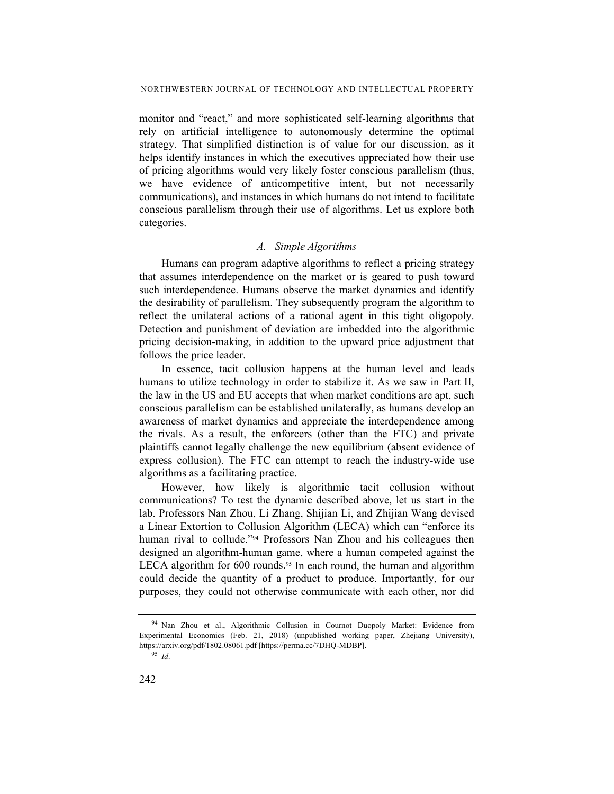monitor and "react," and more sophisticated self-learning algorithms that rely on artificial intelligence to autonomously determine the optimal strategy. That simplified distinction is of value for our discussion, as it helps identify instances in which the executives appreciated how their use of pricing algorithms would very likely foster conscious parallelism (thus, we have evidence of anticompetitive intent, but not necessarily communications), and instances in which humans do not intend to facilitate conscious parallelism through their use of algorithms. Let us explore both categories.

#### *A. Simple Algorithms*

Humans can program adaptive algorithms to reflect a pricing strategy that assumes interdependence on the market or is geared to push toward such interdependence. Humans observe the market dynamics and identify the desirability of parallelism. They subsequently program the algorithm to reflect the unilateral actions of a rational agent in this tight oligopoly. Detection and punishment of deviation are imbedded into the algorithmic pricing decision-making, in addition to the upward price adjustment that follows the price leader.

In essence, tacit collusion happens at the human level and leads humans to utilize technology in order to stabilize it. As we saw in Part II, the law in the US and EU accepts that when market conditions are apt, such conscious parallelism can be established unilaterally, as humans develop an awareness of market dynamics and appreciate the interdependence among the rivals. As a result, the enforcers (other than the FTC) and private plaintiffs cannot legally challenge the new equilibrium (absent evidence of express collusion). The FTC can attempt to reach the industry-wide use algorithms as a facilitating practice.

However, how likely is algorithmic tacit collusion without communications? To test the dynamic described above, let us start in the lab. Professors Nan Zhou, Li Zhang, Shijian Li, and Zhijian Wang devised a Linear Extortion to Collusion Algorithm (LECA) which can "enforce its human rival to collude."94 Professors Nan Zhou and his colleagues then designed an algorithm-human game, where a human competed against the LECA algorithm for  $600$  rounds.<sup>95</sup> In each round, the human and algorithm could decide the quantity of a product to produce. Importantly, for our purposes, they could not otherwise communicate with each other, nor did

<sup>94</sup> Nan Zhou et al., Algorithmic Collusion in Cournot Duopoly Market: Evidence from Experimental Economics (Feb. 21, 2018) (unpublished working paper, Zhejiang University), https://arxiv.org/pdf/1802.08061.pdf [https://perma.cc/7DHQ-MDBP].

<sup>95</sup> *Id*.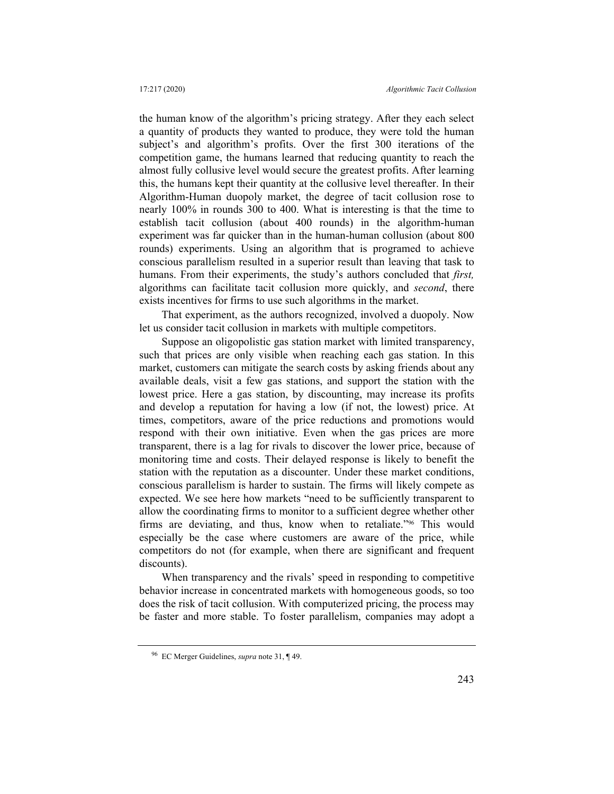the human know of the algorithm's pricing strategy. After they each select a quantity of products they wanted to produce, they were told the human subject's and algorithm's profits. Over the first 300 iterations of the competition game, the humans learned that reducing quantity to reach the almost fully collusive level would secure the greatest profits. After learning this, the humans kept their quantity at the collusive level thereafter. In their Algorithm-Human duopoly market, the degree of tacit collusion rose to nearly 100% in rounds 300 to 400. What is interesting is that the time to establish tacit collusion (about 400 rounds) in the algorithm-human experiment was far quicker than in the human-human collusion (about 800 rounds) experiments. Using an algorithm that is programed to achieve conscious parallelism resulted in a superior result than leaving that task to humans. From their experiments, the study's authors concluded that *first,* algorithms can facilitate tacit collusion more quickly, and *second*, there exists incentives for firms to use such algorithms in the market.

That experiment, as the authors recognized, involved a duopoly. Now let us consider tacit collusion in markets with multiple competitors.

Suppose an oligopolistic gas station market with limited transparency, such that prices are only visible when reaching each gas station. In this market, customers can mitigate the search costs by asking friends about any available deals, visit a few gas stations, and support the station with the lowest price. Here a gas station, by discounting, may increase its profits and develop a reputation for having a low (if not, the lowest) price. At times, competitors, aware of the price reductions and promotions would respond with their own initiative. Even when the gas prices are more transparent, there is a lag for rivals to discover the lower price, because of monitoring time and costs. Their delayed response is likely to benefit the station with the reputation as a discounter. Under these market conditions, conscious parallelism is harder to sustain. The firms will likely compete as expected. We see here how markets "need to be sufficiently transparent to allow the coordinating firms to monitor to a sufficient degree whether other firms are deviating, and thus, know when to retaliate."<sup>96</sup> This would especially be the case where customers are aware of the price, while competitors do not (for example, when there are significant and frequent discounts).

When transparency and the rivals' speed in responding to competitive behavior increase in concentrated markets with homogeneous goods, so too does the risk of tacit collusion. With computerized pricing, the process may be faster and more stable. To foster parallelism, companies may adopt a

<sup>96</sup> EC Merger Guidelines, *supra* note 31, ¶ 49.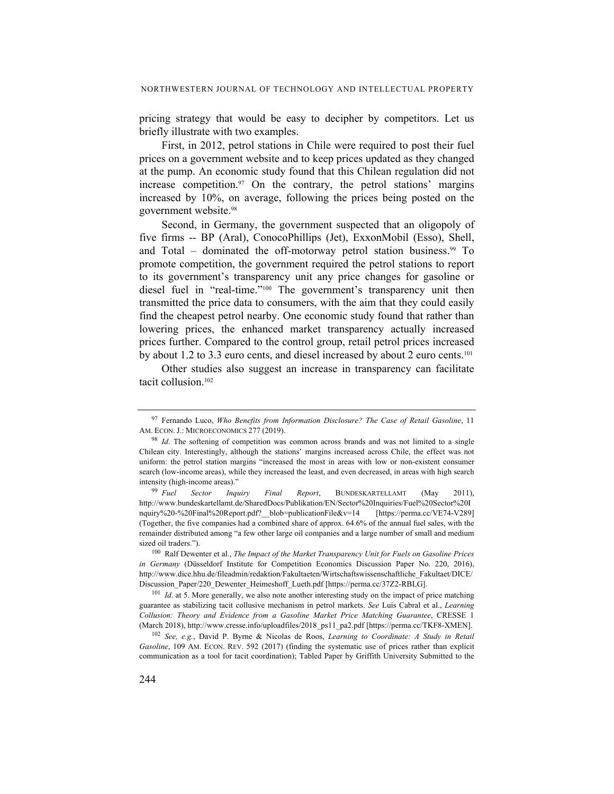pricing strategy that would be easy to decipher by competitors. Let us briefly illustrate with two examples.

First, in 2012, petrol stations in Chile were required to post their fuel prices on a government website and to keep prices updated as they changed at the pump. An economic study found that this Chilean regulation did not increase competition.97 On the contrary, the petrol stations' margins increased by 10%, on average, following the prices being posted on the government website.98

Second, in Germany, the government suspected that an oligopoly of five firms -- BP (Aral), ConocoPhillips (Jet), ExxonMobil (Esso), Shell, and Total – dominated the off-motorway petrol station business. $99$  To promote competition, the government required the petrol stations to report to its government's transparency unit any price changes for gasoline or diesel fuel in "real-time."100 The government's transparency unit then transmitted the price data to consumers, with the aim that they could easily find the cheapest petrol nearby. One economic study found that rather than lowering prices, the enhanced market transparency actually increased prices further. Compared to the control group, retail petrol prices increased by about 1.2 to 3.3 euro cents, and diesel increased by about 2 euro cents.101

Other studies also suggest an increase in transparency can facilitate tacit collusion.102

<sup>97</sup> Fernando Luco, *Who Benefits from Information Disclosure? The Case of Retail Gasoline*, 11 AM. ECON. J.: MICROECONOMICS 277 (2019).

<sup>&</sup>lt;sup>98</sup> Id. The softening of competition was common across brands and was not limited to a single Chilean city. Interestingly, although the stations' margins increased across Chile, the effect was not uniform: the petrol station margins "increased the most in areas with low or non-existent consumer search (low-income areas), while they increased the least, and even decreased, in areas with high search intensity (high-income areas)."

<sup>99</sup> *Fuel Sector Inquiry Final Report*, BUNDESKARTELLAMT (May 2011), http://www.bundeskartellamt.de/SharedDocs/Publikation/EN/Sector%20Inquiries/Fuel%20Sector%20I nquiry%20-%20Final%20Report.pdf?\_\_blob=publicationFile&v=14 [https://perma.cc/VE74-V289] (Together, the five companies had a combined share of approx. 64.6% of the annual fuel sales, with the remainder distributed among "a few other large oil companies and a large number of small and medium sized oil traders.").

<sup>100</sup> Ralf Dewenter et al., *The Impact of the Market Transparency Unit for Fuels on Gasoline Prices in Germany* (Düsseldorf Institute for Competition Economics Discussion Paper No. 220, 2016), http://www.dice.hhu.de/fileadmin/redaktion/Fakultaeten/Wirtschaftswissenschaftliche\_Fakultaet/DICE/ Discussion\_Paper/220\_Dewenter\_Heimeshoff\_Lueth.pdf [https://perma.cc/37Z2-RBLG].

<sup>&</sup>lt;sup>101</sup> *Id.* at 5. More generally, we also note another interesting study on the impact of price matching guarantee as stabilizing tacit collusive mechanism in petrol markets. *See* Luís Cabral et al., *Learning Collusion: Theory and Evidence from a Gasoline Market Price Matching Guarantee*, CRESSE 1 (March 2018), http://www.cresse.info/uploadfiles/2018\_ps11\_pa2.pdf [https://perma.cc/TKF8-XMEN].

<sup>102</sup> *See, e.g.*, David P. Byrne & Nicolas de Roos, *Learning to Coordinate: A Study in Retail Gasoline*, 109 AM. ECON. REV. 592 (2017) (finding the systematic use of prices rather than explicit communication as a tool for tacit coordination); Tabled Paper by Griffith University Submitted to the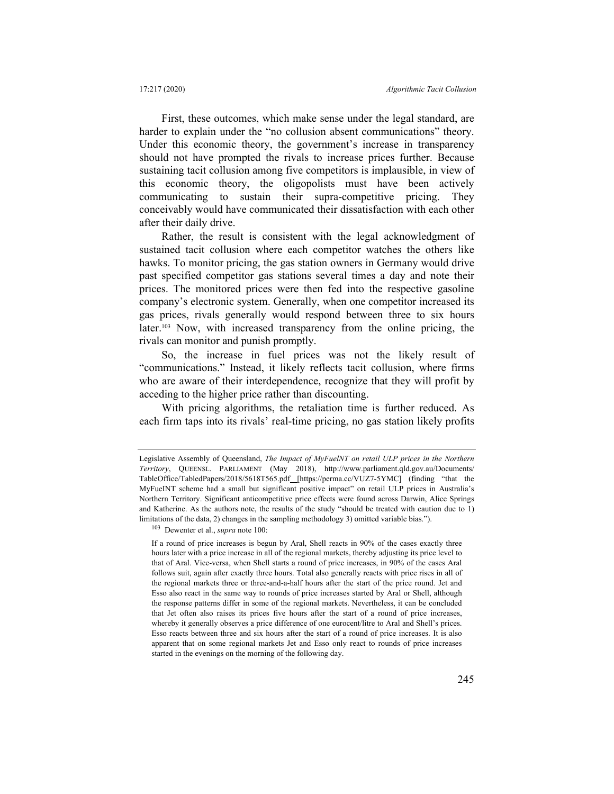First, these outcomes, which make sense under the legal standard, are harder to explain under the "no collusion absent communications" theory. Under this economic theory, the government's increase in transparency should not have prompted the rivals to increase prices further. Because sustaining tacit collusion among five competitors is implausible, in view of this economic theory, the oligopolists must have been actively communicating to sustain their supra-competitive pricing. They conceivably would have communicated their dissatisfaction with each other after their daily drive.

Rather, the result is consistent with the legal acknowledgment of sustained tacit collusion where each competitor watches the others like hawks. To monitor pricing, the gas station owners in Germany would drive past specified competitor gas stations several times a day and note their prices. The monitored prices were then fed into the respective gasoline company's electronic system. Generally, when one competitor increased its gas prices, rivals generally would respond between three to six hours later.103 Now, with increased transparency from the online pricing, the rivals can monitor and punish promptly.

So, the increase in fuel prices was not the likely result of "communications." Instead, it likely reflects tacit collusion, where firms who are aware of their interdependence, recognize that they will profit by acceding to the higher price rather than discounting.

With pricing algorithms, the retaliation time is further reduced. As each firm taps into its rivals' real-time pricing, no gas station likely profits

Legislative Assembly of Queensland, *The Impact of MyFuelNT on retail ULP prices in the Northern Territory*, QUEENSL. PARLIAMENT (May 2018), http://www.parliament.qld.gov.au/Documents/ TableOffice/TabledPapers/2018/5618T565.pdf [https://perma.cc/VUZ7-5YMC] (finding "that the MyFueINT scheme had a small but significant positive impact" on retail ULP prices in Australia's Northern Territory. Significant anticompetitive price effects were found across Darwin, Alice Springs and Katherine. As the authors note, the results of the study "should be treated with caution due to 1) limitations of the data, 2) changes in the sampling methodology 3) omitted variable bias.").

<sup>103</sup> Dewenter et al., *supra* note 100:

If a round of price increases is begun by Aral, Shell reacts in 90% of the cases exactly three hours later with a price increase in all of the regional markets, thereby adjusting its price level to that of Aral. Vice-versa, when Shell starts a round of price increases, in 90% of the cases Aral follows suit, again after exactly three hours. Total also generally reacts with price rises in all of the regional markets three or three-and-a-half hours after the start of the price round. Jet and Esso also react in the same way to rounds of price increases started by Aral or Shell, although the response patterns differ in some of the regional markets. Nevertheless, it can be concluded that Jet often also raises its prices five hours after the start of a round of price increases, whereby it generally observes a price difference of one eurocent/litre to Aral and Shell's prices. Esso reacts between three and six hours after the start of a round of price increases. It is also apparent that on some regional markets Jet and Esso only react to rounds of price increases started in the evenings on the morning of the following day.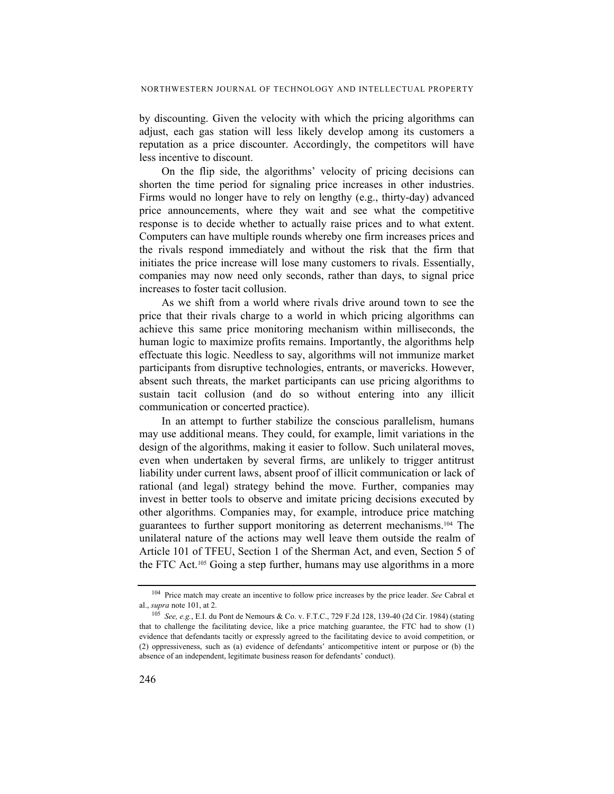by discounting. Given the velocity with which the pricing algorithms can adjust, each gas station will less likely develop among its customers a reputation as a price discounter. Accordingly, the competitors will have less incentive to discount.

On the flip side, the algorithms' velocity of pricing decisions can shorten the time period for signaling price increases in other industries. Firms would no longer have to rely on lengthy (e.g., thirty-day) advanced price announcements, where they wait and see what the competitive response is to decide whether to actually raise prices and to what extent. Computers can have multiple rounds whereby one firm increases prices and the rivals respond immediately and without the risk that the firm that initiates the price increase will lose many customers to rivals. Essentially, companies may now need only seconds, rather than days, to signal price increases to foster tacit collusion.

As we shift from a world where rivals drive around town to see the price that their rivals charge to a world in which pricing algorithms can achieve this same price monitoring mechanism within milliseconds, the human logic to maximize profits remains. Importantly, the algorithms help effectuate this logic. Needless to say, algorithms will not immunize market participants from disruptive technologies, entrants, or mavericks. However, absent such threats, the market participants can use pricing algorithms to sustain tacit collusion (and do so without entering into any illicit communication or concerted practice).

In an attempt to further stabilize the conscious parallelism, humans may use additional means. They could, for example, limit variations in the design of the algorithms, making it easier to follow. Such unilateral moves, even when undertaken by several firms, are unlikely to trigger antitrust liability under current laws, absent proof of illicit communication or lack of rational (and legal) strategy behind the move. Further, companies may invest in better tools to observe and imitate pricing decisions executed by other algorithms. Companies may, for example, introduce price matching guarantees to further support monitoring as deterrent mechanisms.104 The unilateral nature of the actions may well leave them outside the realm of Article 101 of TFEU, Section 1 of the Sherman Act, and even, Section 5 of the FTC Act.105 Going a step further, humans may use algorithms in a more

<sup>104</sup> Price match may create an incentive to follow price increases by the price leader. *See* Cabral et al., *supra* note 101, at 2.

<sup>105</sup> *See, e.g.*, E.I. du Pont de Nemours & Co. v. F.T.C., 729 F.2d 128, 139-40 (2d Cir. 1984) (stating that to challenge the facilitating device, like a price matching guarantee, the FTC had to show (1) evidence that defendants tacitly or expressly agreed to the facilitating device to avoid competition, or (2) oppressiveness, such as (a) evidence of defendants' anticompetitive intent or purpose or (b) the absence of an independent, legitimate business reason for defendants' conduct).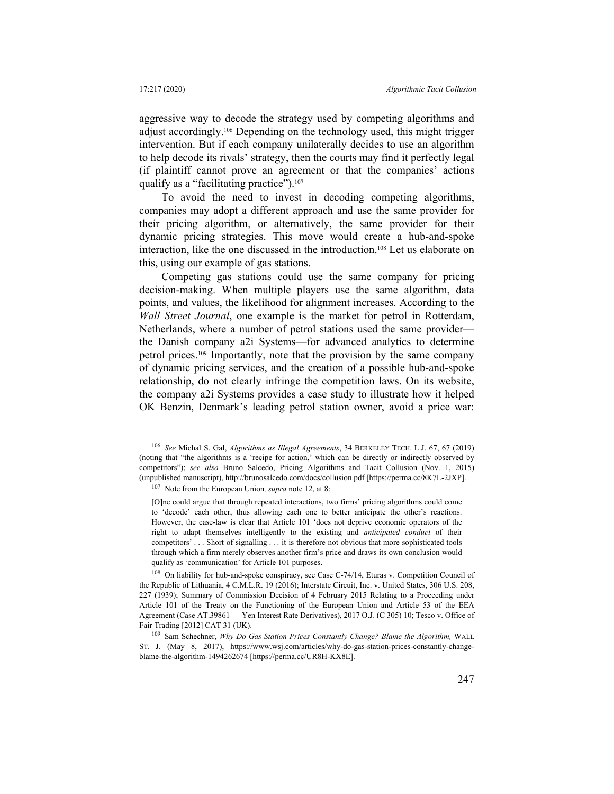aggressive way to decode the strategy used by competing algorithms and adjust accordingly.106 Depending on the technology used, this might trigger intervention. But if each company unilaterally decides to use an algorithm to help decode its rivals' strategy, then the courts may find it perfectly legal (if plaintiff cannot prove an agreement or that the companies' actions qualify as a "facilitating practice").<sup>107</sup>

To avoid the need to invest in decoding competing algorithms, companies may adopt a different approach and use the same provider for their pricing algorithm, or alternatively, the same provider for their dynamic pricing strategies. This move would create a hub-and-spoke interaction, like the one discussed in the introduction.108 Let us elaborate on this, using our example of gas stations.

Competing gas stations could use the same company for pricing decision-making. When multiple players use the same algorithm, data points, and values, the likelihood for alignment increases. According to the *Wall Street Journal*, one example is the market for petrol in Rotterdam, Netherlands, where a number of petrol stations used the same provider the Danish company a2i Systems—for advanced analytics to determine petrol prices.109 Importantly, note that the provision by the same company of dynamic pricing services, and the creation of a possible hub-and-spoke relationship, do not clearly infringe the competition laws. On its website, the company a2i Systems provides a case study to illustrate how it helped OK Benzin, Denmark's leading petrol station owner, avoid a price war:

<sup>106</sup> *See* Michal S. Gal, *Algorithms as Illegal Agreements*, 34 BERKELEY TECH. L.J. 67, 67 (2019) (noting that "the algorithms is a 'recipe for action,' which can be directly or indirectly observed by competitors"); *see also* Bruno Salcedo, Pricing Algorithms and Tacit Collusion (Nov. 1, 2015) (unpublished manuscript), http://brunosalcedo.com/docs/collusion.pdf [https://perma.cc/8K7L-2JXP].

<sup>107</sup> Note from the European Union*, supra* note 12, at 8:

<sup>[</sup>O]ne could argue that through repeated interactions, two firms' pricing algorithms could come to 'decode' each other, thus allowing each one to better anticipate the other's reactions. However, the case-law is clear that Article 101 'does not deprive economic operators of the right to adapt themselves intelligently to the existing and *anticipated conduct* of their competitors' . . . Short of signalling . . . it is therefore not obvious that more sophisticated tools through which a firm merely observes another firm's price and draws its own conclusion would qualify as 'communication' for Article 101 purposes.

<sup>108</sup> On liability for hub-and-spoke conspiracy, see Case C-74/14, Eturas v. Competition Council of the Republic of Lithuania, 4 C.M.L.R. 19 (2016); Interstate Circuit, Inc. v. United States, 306 U.S. 208, 227 (1939); Summary of Commission Decision of 4 February 2015 Relating to a Proceeding under Article 101 of the Treaty on the Functioning of the European Union and Article 53 of the EEA Agreement (Case AT.39861 — Yen Interest Rate Derivatives), 2017 O.J. (C 305) 10; Tesco v. Office of Fair Trading [2012] CAT 31 (UK).

<sup>109</sup> Sam Schechner, *Why Do Gas Station Prices Constantly Change? Blame the Algorithm,* WALL ST. J. (May 8, 2017), https://www.wsj.com/articles/why-do-gas-station-prices-constantly-changeblame-the-algorithm-1494262674 [https://perma.cc/UR8H-KX8E].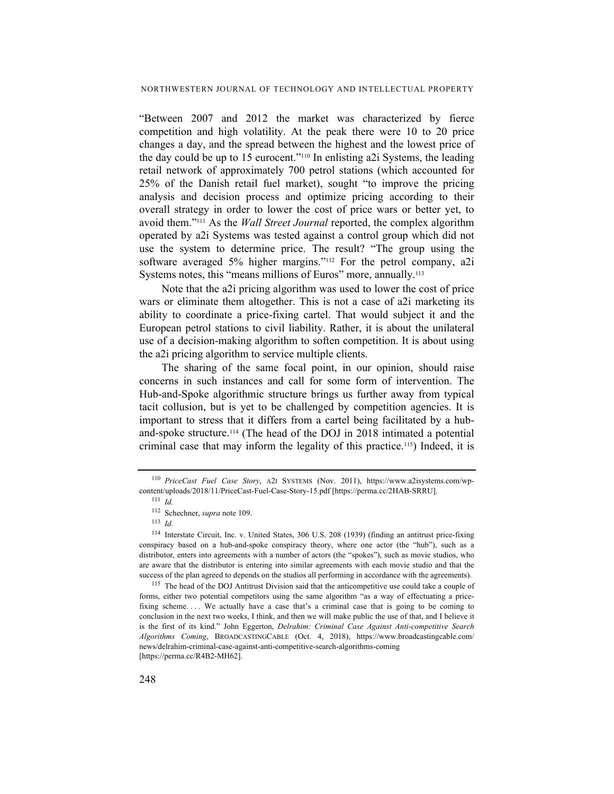"Between 2007 and 2012 the market was characterized by fierce competition and high volatility. At the peak there were 10 to 20 price changes a day, and the spread between the highest and the lowest price of the day could be up to 15 eurocent."110 In enlisting a2i Systems, the leading retail network of approximately 700 petrol stations (which accounted for 25% of the Danish retail fuel market), sought "to improve the pricing analysis and decision process and optimize pricing according to their overall strategy in order to lower the cost of price wars or better yet, to avoid them."111 As the *Wall Street Journal* reported, the complex algorithm operated by a2i Systems was tested against a control group which did not use the system to determine price. The result? "The group using the software averaged 5% higher margins."<sup>112</sup> For the petrol company, a2i Systems notes, this "means millions of Euros" more, annually.<sup>113</sup>

Note that the a2i pricing algorithm was used to lower the cost of price wars or eliminate them altogether. This is not a case of a2i marketing its ability to coordinate a price-fixing cartel. That would subject it and the European petrol stations to civil liability. Rather, it is about the unilateral use of a decision-making algorithm to soften competition. It is about using the a2i pricing algorithm to service multiple clients.

The sharing of the same focal point, in our opinion, should raise concerns in such instances and call for some form of intervention. The Hub-and-Spoke algorithmic structure brings us further away from typical tacit collusion, but is yet to be challenged by competition agencies. It is important to stress that it differs from a cartel being facilitated by a huband-spoke structure.114 (The head of the DOJ in 2018 intimated a potential criminal case that may inform the legality of this practice.115) Indeed, it is

<sup>110</sup> *PriceCast Fuel Case Story*, A2I SYSTEMS (Nov. 2011), https://www.a2isystems.com/wpcontent/uploads/2018/11/PriceCast-Fuel-Case-Story-15.pdf [https://perma.cc/2HAB-SRRU].

<sup>111</sup> *Id.*

<sup>112</sup> Schechner, *supra* note 109. 113 *Id.*

<sup>114</sup> Interstate Circuit, Inc. v. United States, 306 U.S. 208 (1939) (finding an antitrust price-fixing conspiracy based on a hub-and-spoke conspiracy theory, where one actor (the "hub"), such as a distributor, enters into agreements with a number of actors (the "spokes"), such as movie studios, who are aware that the distributor is entering into similar agreements with each movie studio and that the success of the plan agreed to depends on the studios all performing in accordance with the agreements).

<sup>&</sup>lt;sup>115</sup> The head of the DOJ Antitrust Division said that the anticompetitive use could take a couple of forms, either two potential competitors using the same algorithm "as a way of effectuating a pricefixing scheme. . . . We actually have a case that's a criminal case that is going to be coming to conclusion in the next two weeks, I think, and then we will make public the use of that, and I believe it is the first of its kind." John Eggerton, *Delrahim: Criminal Case Against Anti-competitive Search Algorithms Coming*, BROADCASTINGCABLE (Oct. 4, 2018), https://www.broadcastingcable.com/ news/delrahim-criminal-case-against-anti-competitive-search-algorithms-coming [https://perma.cc/R4B2-MH62].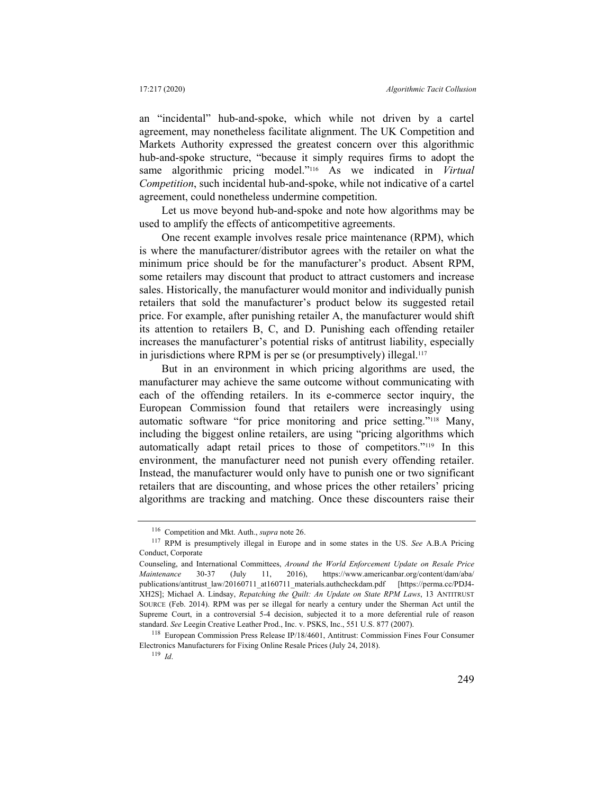an "incidental" hub-and-spoke, which while not driven by a cartel agreement, may nonetheless facilitate alignment. The UK Competition and Markets Authority expressed the greatest concern over this algorithmic hub-and-spoke structure, "because it simply requires firms to adopt the same algorithmic pricing model."116 As we indicated in *Virtual Competition*, such incidental hub-and-spoke, while not indicative of a cartel agreement, could nonetheless undermine competition.

Let us move beyond hub-and-spoke and note how algorithms may be used to amplify the effects of anticompetitive agreements.

One recent example involves resale price maintenance (RPM), which is where the manufacturer/distributor agrees with the retailer on what the minimum price should be for the manufacturer's product. Absent RPM, some retailers may discount that product to attract customers and increase sales. Historically, the manufacturer would monitor and individually punish retailers that sold the manufacturer's product below its suggested retail price. For example, after punishing retailer A, the manufacturer would shift its attention to retailers B, C, and D. Punishing each offending retailer increases the manufacturer's potential risks of antitrust liability, especially in jurisdictions where RPM is per se (or presumptively) illegal.<sup>117</sup>

But in an environment in which pricing algorithms are used, the manufacturer may achieve the same outcome without communicating with each of the offending retailers. In its e-commerce sector inquiry, the European Commission found that retailers were increasingly using automatic software "for price monitoring and price setting."118 Many, including the biggest online retailers, are using "pricing algorithms which automatically adapt retail prices to those of competitors."119 In this environment, the manufacturer need not punish every offending retailer. Instead, the manufacturer would only have to punish one or two significant retailers that are discounting, and whose prices the other retailers' pricing algorithms are tracking and matching. Once these discounters raise their

<sup>116</sup> Competition and Mkt. Auth., *supra* note 26.

<sup>117</sup> RPM is presumptively illegal in Europe and in some states in the US. *See* A.B.A Pricing Conduct, Corporate

Counseling, and International Committees, *Around the World Enforcement Update on Resale Price Maintenance* 30-37 (July 11, 2016), https://www.americanbar.org/content/dam/aba/ publications/antitrust\_law/20160711\_at160711\_materials.authcheckdam.pdf [https://perma.cc/PDJ4-XH2S]; Michael A. Lindsay, *Repatching the Quilt: An Update on State RPM Laws*, 13 ANTITRUST SOURCE (Feb. 2014). RPM was per se illegal for nearly a century under the Sherman Act until the Supreme Court, in a controversial 5-4 decision, subjected it to a more deferential rule of reason standard. *See* Leegin Creative Leather Prod., Inc. v. PSKS, Inc., 551 U.S. 877 (2007).

<sup>118</sup> European Commission Press Release IP/18/4601, Antitrust: Commission Fines Four Consumer Electronics Manufacturers for Fixing Online Resale Prices (July 24, 2018).

<sup>119</sup> *Id*.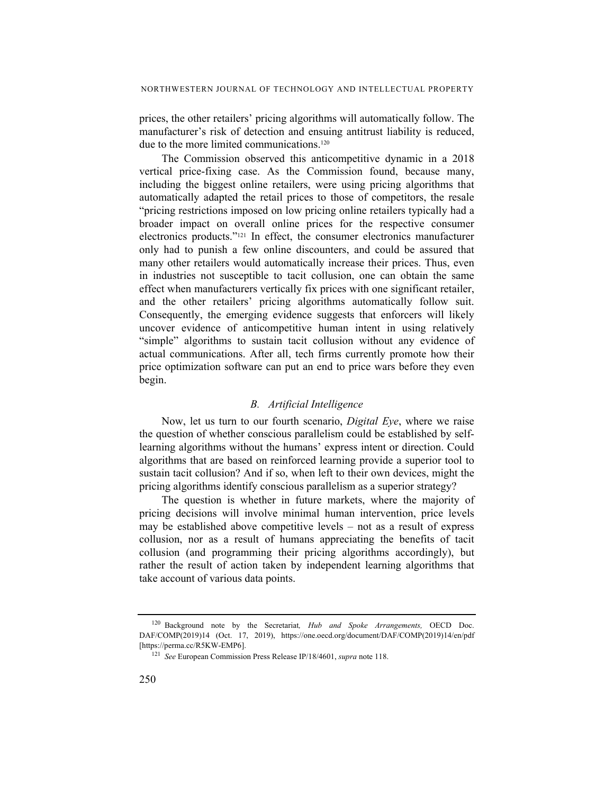prices, the other retailers' pricing algorithms will automatically follow. The manufacturer's risk of detection and ensuing antitrust liability is reduced, due to the more limited communications.<sup>120</sup>

The Commission observed this anticompetitive dynamic in a 2018 vertical price-fixing case. As the Commission found, because many, including the biggest online retailers, were using pricing algorithms that automatically adapted the retail prices to those of competitors, the resale "pricing restrictions imposed on low pricing online retailers typically had a broader impact on overall online prices for the respective consumer electronics products."121 In effect, the consumer electronics manufacturer only had to punish a few online discounters, and could be assured that many other retailers would automatically increase their prices. Thus, even in industries not susceptible to tacit collusion, one can obtain the same effect when manufacturers vertically fix prices with one significant retailer, and the other retailers' pricing algorithms automatically follow suit. Consequently, the emerging evidence suggests that enforcers will likely uncover evidence of anticompetitive human intent in using relatively "simple" algorithms to sustain tacit collusion without any evidence of actual communications. After all, tech firms currently promote how their price optimization software can put an end to price wars before they even begin.

#### *B. Artificial Intelligence*

Now, let us turn to our fourth scenario, *Digital Eye*, where we raise the question of whether conscious parallelism could be established by selflearning algorithms without the humans' express intent or direction. Could algorithms that are based on reinforced learning provide a superior tool to sustain tacit collusion? And if so, when left to their own devices, might the pricing algorithms identify conscious parallelism as a superior strategy?

The question is whether in future markets, where the majority of pricing decisions will involve minimal human intervention, price levels may be established above competitive levels – not as a result of express collusion, nor as a result of humans appreciating the benefits of tacit collusion (and programming their pricing algorithms accordingly), but rather the result of action taken by independent learning algorithms that take account of various data points.

<sup>120</sup> Background note by the Secretariat*, Hub and Spoke Arrangements,* OECD Doc. DAF/COMP(2019)14 (Oct. 17, 2019), https://one.oecd.org/document/DAF/COMP(2019)14/en/pdf [https://perma.cc/R5KW-EMP6].

<sup>121</sup> *See* European Commission Press Release IP/18/4601, *supra* note 118.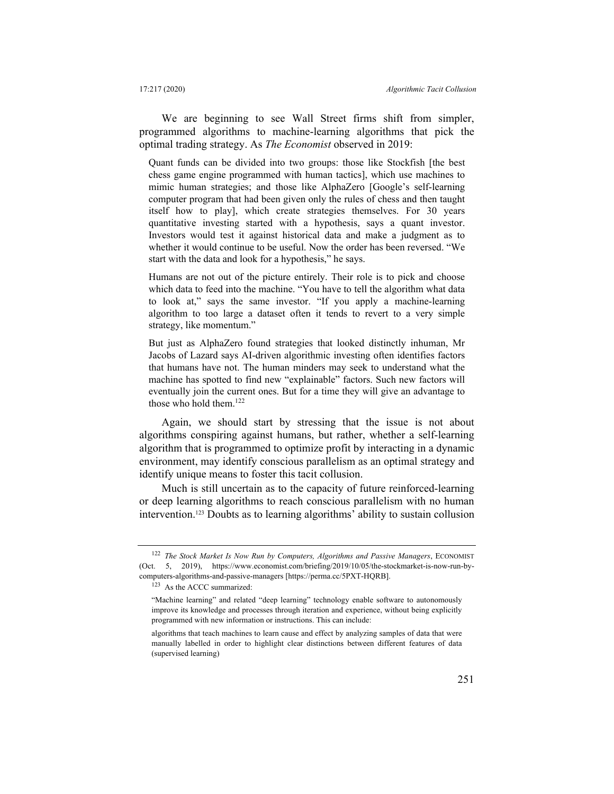We are beginning to see Wall Street firms shift from simpler, programmed algorithms to machine-learning algorithms that pick the optimal trading strategy. As *The Economist* observed in 2019:

Quant funds can be divided into two groups: those like Stockfish [the best chess game engine programmed with human tactics], which use machines to mimic human strategies; and those like AlphaZero [Google's self-learning computer program that had been given only the rules of chess and then taught itself how to play], which create strategies themselves. For 30 years quantitative investing started with a hypothesis, says a quant investor. Investors would test it against historical data and make a judgment as to whether it would continue to be useful. Now the order has been reversed. "We start with the data and look for a hypothesis," he says.

Humans are not out of the picture entirely. Their role is to pick and choose which data to feed into the machine. "You have to tell the algorithm what data to look at," says the same investor. "If you apply a machine-learning algorithm to too large a dataset often it tends to revert to a very simple strategy, like momentum."

But just as AlphaZero found strategies that looked distinctly inhuman, Mr Jacobs of Lazard says AI-driven algorithmic investing often identifies factors that humans have not. The human minders may seek to understand what the machine has spotted to find new "explainable" factors. Such new factors will eventually join the current ones. But for a time they will give an advantage to those who hold them.<sup>122</sup>

Again, we should start by stressing that the issue is not about algorithms conspiring against humans, but rather, whether a self-learning algorithm that is programmed to optimize profit by interacting in a dynamic environment, may identify conscious parallelism as an optimal strategy and identify unique means to foster this tacit collusion.

Much is still uncertain as to the capacity of future reinforced-learning or deep learning algorithms to reach conscious parallelism with no human intervention.123 Doubts as to learning algorithms' ability to sustain collusion

<sup>123</sup> As the ACCC summarized:

<sup>122</sup> *The Stock Market Is Now Run by Computers, Algorithms and Passive Managers*, ECONOMIST (Oct. 5, 2019), https://www.economist.com/briefing/2019/10/05/the-stockmarket-is-now-run-bycomputers-algorithms-and-passive-managers [https://perma.cc/5PXT-HQRB].

<sup>&</sup>quot;Machine learning" and related "deep learning" technology enable software to autonomously improve its knowledge and processes through iteration and experience, without being explicitly programmed with new information or instructions. This can include:

algorithms that teach machines to learn cause and effect by analyzing samples of data that were manually labelled in order to highlight clear distinctions between different features of data (supervised learning)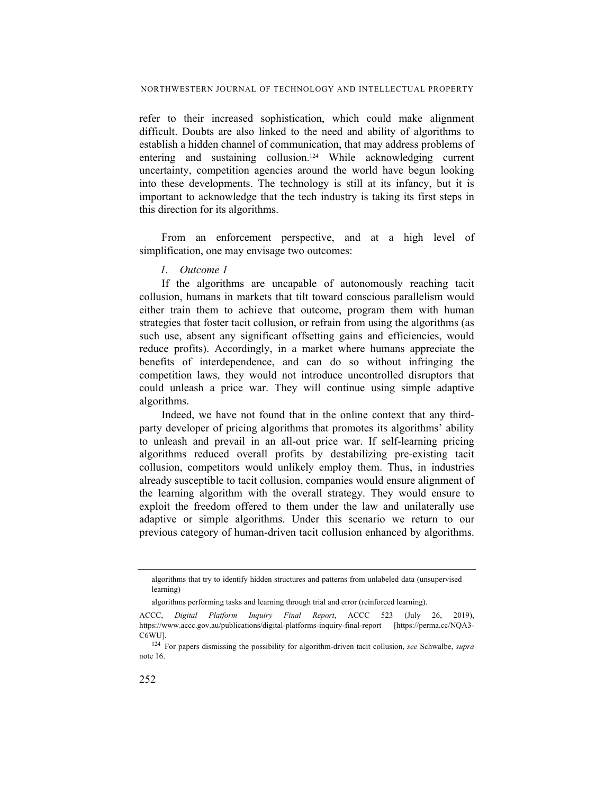refer to their increased sophistication, which could make alignment difficult. Doubts are also linked to the need and ability of algorithms to establish a hidden channel of communication, that may address problems of entering and sustaining collusion.<sup>124</sup> While acknowledging current uncertainty, competition agencies around the world have begun looking into these developments. The technology is still at its infancy, but it is important to acknowledge that the tech industry is taking its first steps in this direction for its algorithms.

From an enforcement perspective, and at a high level of simplification, one may envisage two outcomes:

#### *1. Outcome 1*

If the algorithms are uncapable of autonomously reaching tacit collusion, humans in markets that tilt toward conscious parallelism would either train them to achieve that outcome, program them with human strategies that foster tacit collusion, or refrain from using the algorithms (as such use, absent any significant offsetting gains and efficiencies, would reduce profits). Accordingly, in a market where humans appreciate the benefits of interdependence, and can do so without infringing the competition laws, they would not introduce uncontrolled disruptors that could unleash a price war. They will continue using simple adaptive algorithms.

Indeed, we have not found that in the online context that any thirdparty developer of pricing algorithms that promotes its algorithms' ability to unleash and prevail in an all-out price war. If self-learning pricing algorithms reduced overall profits by destabilizing pre-existing tacit collusion, competitors would unlikely employ them. Thus, in industries already susceptible to tacit collusion, companies would ensure alignment of the learning algorithm with the overall strategy. They would ensure to exploit the freedom offered to them under the law and unilaterally use adaptive or simple algorithms. Under this scenario we return to our previous category of human-driven tacit collusion enhanced by algorithms.

algorithms that try to identify hidden structures and patterns from unlabeled data (unsupervised learning)

algorithms performing tasks and learning through trial and error (reinforced learning).

ACCC, *Digital Platform Inquiry Final Report*, ACCC 523 (July 26, 2019), https://www.accc.gov.au/publications/digital-platforms-inquiry-final-report [https://perma.cc/NQA3- C6WU].

<sup>124</sup> For papers dismissing the possibility for algorithm-driven tacit collusion, *see* Schwalbe, *supra* note 16.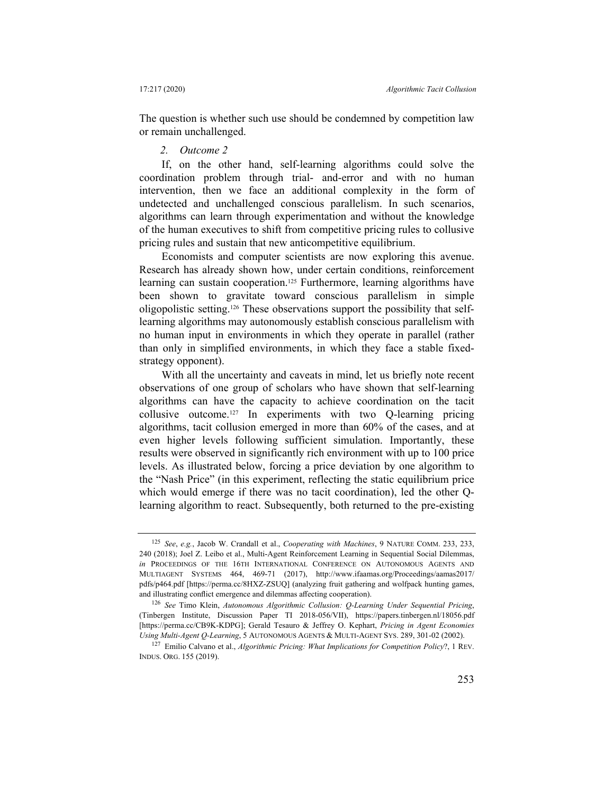The question is whether such use should be condemned by competition law or remain unchallenged.

#### *2. Outcome 2*

If, on the other hand, self-learning algorithms could solve the coordination problem through trial- and-error and with no human intervention, then we face an additional complexity in the form of undetected and unchallenged conscious parallelism. In such scenarios, algorithms can learn through experimentation and without the knowledge of the human executives to shift from competitive pricing rules to collusive pricing rules and sustain that new anticompetitive equilibrium.

Economists and computer scientists are now exploring this avenue. Research has already shown how, under certain conditions, reinforcement learning can sustain cooperation.<sup>125</sup> Furthermore, learning algorithms have been shown to gravitate toward conscious parallelism in simple oligopolistic setting.126 These observations support the possibility that selflearning algorithms may autonomously establish conscious parallelism with no human input in environments in which they operate in parallel (rather than only in simplified environments, in which they face a stable fixedstrategy opponent).

With all the uncertainty and caveats in mind, let us briefly note recent observations of one group of scholars who have shown that self-learning algorithms can have the capacity to achieve coordination on the tacit collusive outcome.127 In experiments with two Q-learning pricing algorithms, tacit collusion emerged in more than 60% of the cases, and at even higher levels following sufficient simulation. Importantly, these results were observed in significantly rich environment with up to 100 price levels. As illustrated below, forcing a price deviation by one algorithm to the "Nash Price" (in this experiment, reflecting the static equilibrium price which would emerge if there was no tacit coordination), led the other Qlearning algorithm to react. Subsequently, both returned to the pre-existing

<sup>125</sup> *See*, *e.g.*, Jacob W. Crandall et al., *Cooperating with Machines*, 9 NATURE COMM. 233, 233, 240 (2018); Joel Z. Leibo et al., Multi-Agent Reinforcement Learning in Sequential Social Dilemmas, *in* PROCEEDINGS OF THE 16TH INTERNATIONAL CONFERENCE ON AUTONOMOUS AGENTS AND MULTIAGENT SYSTEMS 464, 469-71 (2017), http://www.ifaamas.org/Proceedings/aamas2017/ pdfs/p464.pdf [https://perma.cc/8HXZ-ZSUQ] (analyzing fruit gathering and wolfpack hunting games, and illustrating conflict emergence and dilemmas affecting cooperation).

<sup>126</sup> *See* Timo Klein, *Autonomous Algorithmic Collusion: Q-Learning Under Sequential Pricing*, (Tinbergen Institute, Discussion Paper TI 2018-056/VII), https://papers.tinbergen.nl/18056.pdf [https://perma.cc/CB9K-KDPG]; Gerald Tesauro & Jeffrey O. Kephart, *Pricing in Agent Economies Using Multi-Agent Q-Learning*, 5 AUTONOMOUS AGENTS & MULTI-AGENT SYS. 289, 301-02 (2002).

<sup>127</sup> Emilio Calvano et al., *Algorithmic Pricing: What Implications for Competition Policy*?, 1 REV. INDUS. ORG. 155 (2019).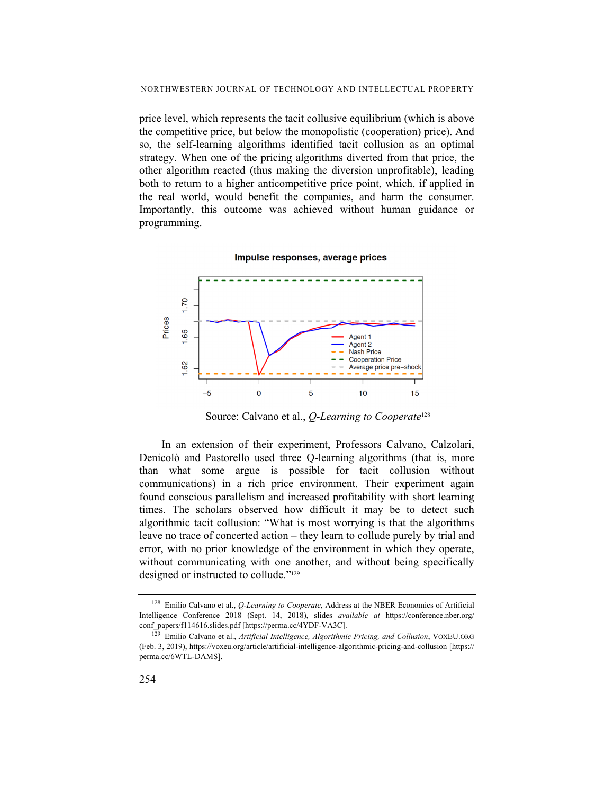price level, which represents the tacit collusive equilibrium (which is above the competitive price, but below the monopolistic (cooperation) price). And so, the self-learning algorithms identified tacit collusion as an optimal strategy. When one of the pricing algorithms diverted from that price, the other algorithm reacted (thus making the diversion unprofitable), leading both to return to a higher anticompetitive price point, which, if applied in the real world, would benefit the companies, and harm the consumer. Importantly, this outcome was achieved without human guidance or programming.

#### Impulse responses, average prices



Source: Calvano et al., *Q-Learning to Cooperate*<sup>128</sup>

In an extension of their experiment, Professors Calvano, Calzolari, Denicolò and Pastorello used three Q-learning algorithms (that is, more than what some argue is possible for tacit collusion without communications) in a rich price environment. Their experiment again found conscious parallelism and increased profitability with short learning times. The scholars observed how difficult it may be to detect such algorithmic tacit collusion: "What is most worrying is that the algorithms leave no trace of concerted action – they learn to collude purely by trial and error, with no prior knowledge of the environment in which they operate, without communicating with one another, and without being specifically designed or instructed to collude."129

<sup>128</sup> Emilio Calvano et al., *Q-Learning to Cooperate*, Address at the NBER Economics of Artificial Intelligence Conference 2018 (Sept. 14, 2018), slides *available at* https://conference.nber.org/ conf\_papers/f114616.slides.pdf [https://perma.cc/4YDF-VA3C].

<sup>129</sup> Emilio Calvano et al., *Artificial Intelligence, Algorithmic Pricing, and Collusion*, VOXEU.ORG (Feb. 3, 2019), https://voxeu.org/article/artificial-intelligence-algorithmic-pricing-and-collusion [https:// perma.cc/6WTL-DAMS].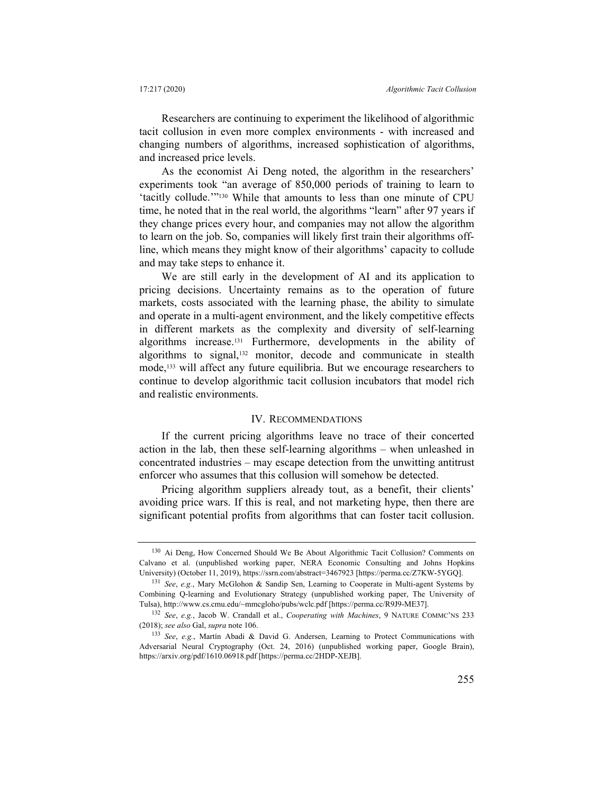Researchers are continuing to experiment the likelihood of algorithmic tacit collusion in even more complex environments - with increased and changing numbers of algorithms, increased sophistication of algorithms, and increased price levels.

As the economist Ai Deng noted, the algorithm in the researchers' experiments took "an average of 850,000 periods of training to learn to 'tacitly collude.'"130 While that amounts to less than one minute of CPU time, he noted that in the real world, the algorithms "learn" after 97 years if they change prices every hour, and companies may not allow the algorithm to learn on the job. So, companies will likely first train their algorithms offline, which means they might know of their algorithms' capacity to collude and may take steps to enhance it.

We are still early in the development of AI and its application to pricing decisions. Uncertainty remains as to the operation of future markets, costs associated with the learning phase, the ability to simulate and operate in a multi-agent environment, and the likely competitive effects in different markets as the complexity and diversity of self-learning algorithms increase.131 Furthermore, developments in the ability of algorithms to signal,132 monitor, decode and communicate in stealth mode,133 will affect any future equilibria. But we encourage researchers to continue to develop algorithmic tacit collusion incubators that model rich and realistic environments.

#### IV. RECOMMENDATIONS

If the current pricing algorithms leave no trace of their concerted action in the lab, then these self-learning algorithms – when unleashed in concentrated industries – may escape detection from the unwitting antitrust enforcer who assumes that this collusion will somehow be detected.

Pricing algorithm suppliers already tout, as a benefit, their clients' avoiding price wars. If this is real, and not marketing hype, then there are significant potential profits from algorithms that can foster tacit collusion.

<sup>130</sup> Ai Deng, How Concerned Should We Be About Algorithmic Tacit Collusion? Comments on Calvano et al. (unpublished working paper, NERA Economic Consulting and Johns Hopkins University) (October 11, 2019), https://ssrn.com/abstract=3467923 [https://perma.cc/Z7KW-5YGQ].

<sup>131</sup> *See*, *e.g.*, Mary McGlohon & Sandip Sen, Learning to Cooperate in Multi-agent Systems by Combining Q-learning and Evolutionary Strategy (unpublished working paper, The University of Tulsa), http://www.cs.cmu.edu/~mmcgloho/pubs/wclc.pdf [https://perma.cc/R9J9-ME37].

<sup>132</sup> *See*, *e.g.*, Jacob W. Crandall et al., *Cooperating with Machines*, 9 NATURE COMMC'NS 233 (2018); *see also* Gal, *supra* note 106.

<sup>133</sup> *See*, *e.g.*, Martín Abadi & David G. Andersen, Learning to Protect Communications with Adversarial Neural Cryptography (Oct. 24, 2016) (unpublished working paper, Google Brain), https://arxiv.org/pdf/1610.06918.pdf [https://perma.cc/2HDP-XEJB].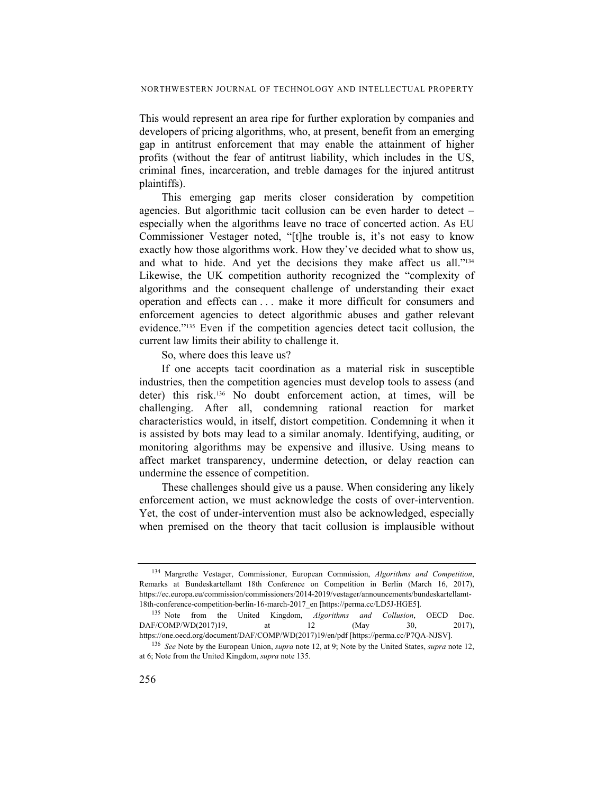This would represent an area ripe for further exploration by companies and developers of pricing algorithms, who, at present, benefit from an emerging gap in antitrust enforcement that may enable the attainment of higher profits (without the fear of antitrust liability, which includes in the US, criminal fines, incarceration, and treble damages for the injured antitrust plaintiffs).

This emerging gap merits closer consideration by competition agencies. But algorithmic tacit collusion can be even harder to detect – especially when the algorithms leave no trace of concerted action. As EU Commissioner Vestager noted, "[t]he trouble is, it's not easy to know exactly how those algorithms work. How they've decided what to show us, and what to hide. And yet the decisions they make affect us all."134 Likewise, the UK competition authority recognized the "complexity of algorithms and the consequent challenge of understanding their exact operation and effects can . . . make it more difficult for consumers and enforcement agencies to detect algorithmic abuses and gather relevant evidence."135 Even if the competition agencies detect tacit collusion, the current law limits their ability to challenge it.

So, where does this leave us?

If one accepts tacit coordination as a material risk in susceptible industries, then the competition agencies must develop tools to assess (and deter) this risk.136 No doubt enforcement action, at times, will be challenging. After all, condemning rational reaction for market characteristics would, in itself, distort competition. Condemning it when it is assisted by bots may lead to a similar anomaly. Identifying, auditing, or monitoring algorithms may be expensive and illusive. Using means to affect market transparency, undermine detection, or delay reaction can undermine the essence of competition.

These challenges should give us a pause. When considering any likely enforcement action, we must acknowledge the costs of over-intervention. Yet, the cost of under-intervention must also be acknowledged, especially when premised on the theory that tacit collusion is implausible without

<sup>134</sup> Margrethe Vestager, Commissioner, European Commission, *Algorithms and Competition*, Remarks at Bundeskartellamt 18th Conference on Competition in Berlin (March 16, 2017), https://ec.europa.eu/commission/commissioners/2014-2019/vestager/announcements/bundeskartellamt-18th-conference-competition-berlin-16-march-2017\_en [https://perma.cc/LD5J-HGE5].

<sup>135</sup> Note from the United Kingdom, *Algorithms and Collusion*, OECD Doc. DAF/COMP/WD(2017)19, at 12 (May 30, 2017), https://one.oecd.org/document/DAF/COMP/WD(2017)19/en/pdf [https://perma.cc/P7QA-NJSV].

<sup>136</sup> *See* Note by the European Union, *supra* note 12, at 9; Note by the United States, *supra* note 12, at 6; Note from the United Kingdom, *supra* note 135.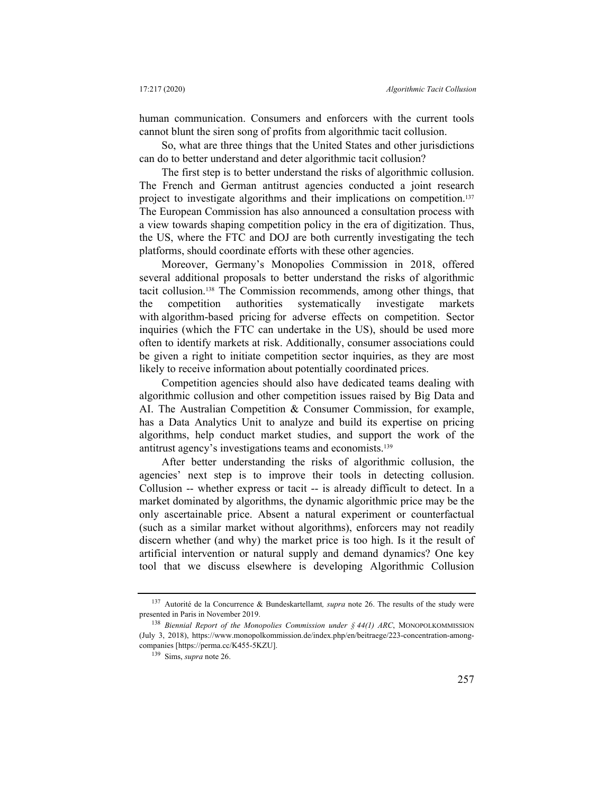human communication. Consumers and enforcers with the current tools cannot blunt the siren song of profits from algorithmic tacit collusion.

So, what are three things that the United States and other jurisdictions can do to better understand and deter algorithmic tacit collusion?

The first step is to better understand the risks of algorithmic collusion. The French and German antitrust agencies conducted a joint research project to investigate algorithms and their implications on competition.<sup>137</sup> The European Commission has also announced a consultation process with a view towards shaping competition policy in the era of digitization. Thus, the US, where the FTC and DOJ are both currently investigating the tech platforms, should coordinate efforts with these other agencies.

Moreover, Germany's Monopolies Commission in 2018, offered several additional proposals to better understand the risks of algorithmic tacit collusion.138 The Commission recommends, among other things, that the competition authorities systematically investigate markets with algorithm-based pricing for adverse effects on competition. Sector inquiries (which the FTC can undertake in the US), should be used more often to identify markets at risk. Additionally, consumer associations could be given a right to initiate competition sector inquiries, as they are most likely to receive information about potentially coordinated prices.

Competition agencies should also have dedicated teams dealing with algorithmic collusion and other competition issues raised by Big Data and AI. The Australian Competition & Consumer Commission, for example, has a Data Analytics Unit to analyze and build its expertise on pricing algorithms, help conduct market studies, and support the work of the antitrust agency's investigations teams and economists.139

After better understanding the risks of algorithmic collusion, the agencies' next step is to improve their tools in detecting collusion. Collusion -- whether express or tacit -- is already difficult to detect. In a market dominated by algorithms, the dynamic algorithmic price may be the only ascertainable price. Absent a natural experiment or counterfactual (such as a similar market without algorithms), enforcers may not readily discern whether (and why) the market price is too high. Is it the result of artificial intervention or natural supply and demand dynamics? One key tool that we discuss elsewhere is developing Algorithmic Collusion

<sup>137</sup> Autorité de la Concurrence & Bundeskartellamt*, supra* note 26. The results of the study were presented in Paris in November 2019.

<sup>138</sup> *Biennial Report of the Monopolies Commission under § 44(1) ARC*, MONOPOLKOMMISSION (July 3, 2018), https://www.monopolkommission.de/index.php/en/beitraege/223-concentration-amongcompanies [https://perma.cc/K455-5KZU].

<sup>139</sup> Sims, *supra* note 26.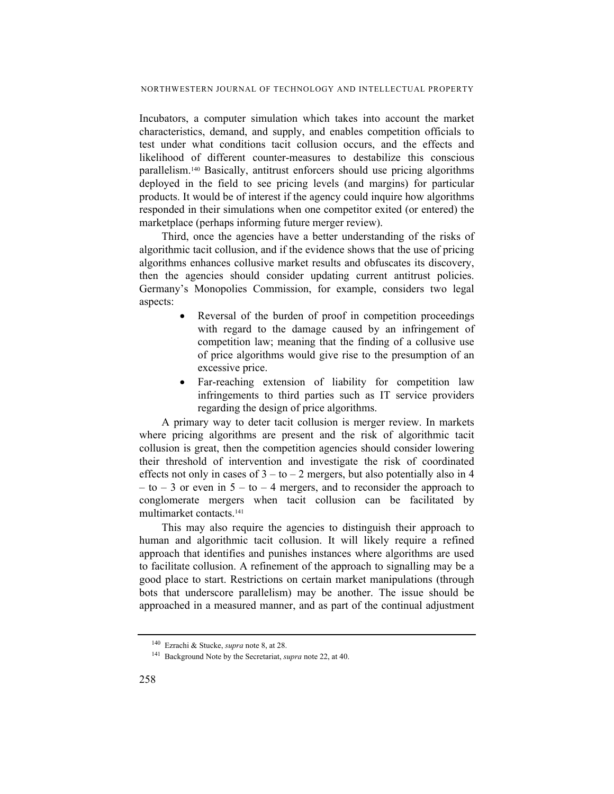Incubators, a computer simulation which takes into account the market characteristics, demand, and supply, and enables competition officials to test under what conditions tacit collusion occurs, and the effects and likelihood of different counter-measures to destabilize this conscious parallelism.140 Basically, antitrust enforcers should use pricing algorithms deployed in the field to see pricing levels (and margins) for particular products. It would be of interest if the agency could inquire how algorithms responded in their simulations when one competitor exited (or entered) the marketplace (perhaps informing future merger review).

Third, once the agencies have a better understanding of the risks of algorithmic tacit collusion, and if the evidence shows that the use of pricing algorithms enhances collusive market results and obfuscates its discovery, then the agencies should consider updating current antitrust policies. Germany's Monopolies Commission, for example, considers two legal aspects:

- Reversal of the burden of proof in competition proceedings with regard to the damage caused by an infringement of competition law; meaning that the finding of a collusive use of price algorithms would give rise to the presumption of an excessive price.
- Far-reaching extension of liability for competition law infringements to third parties such as IT service providers regarding the design of price algorithms.

A primary way to deter tacit collusion is merger review. In markets where pricing algorithms are present and the risk of algorithmic tacit collusion is great, then the competition agencies should consider lowering their threshold of intervention and investigate the risk of coordinated effects not only in cases of  $3 - 10 - 2$  mergers, but also potentially also in 4  $-$  to  $-$  3 or even in  $5 -$  to  $-$  4 mergers, and to reconsider the approach to conglomerate mergers when tacit collusion can be facilitated by multimarket contacts.141

This may also require the agencies to distinguish their approach to human and algorithmic tacit collusion. It will likely require a refined approach that identifies and punishes instances where algorithms are used to facilitate collusion. A refinement of the approach to signalling may be a good place to start. Restrictions on certain market manipulations (through bots that underscore parallelism) may be another. The issue should be approached in a measured manner, and as part of the continual adjustment

<sup>140</sup> Ezrachi & Stucke, *supra* note 8, at 28.

<sup>141</sup> Background Note by the Secretariat, *supra* note 22, at 40.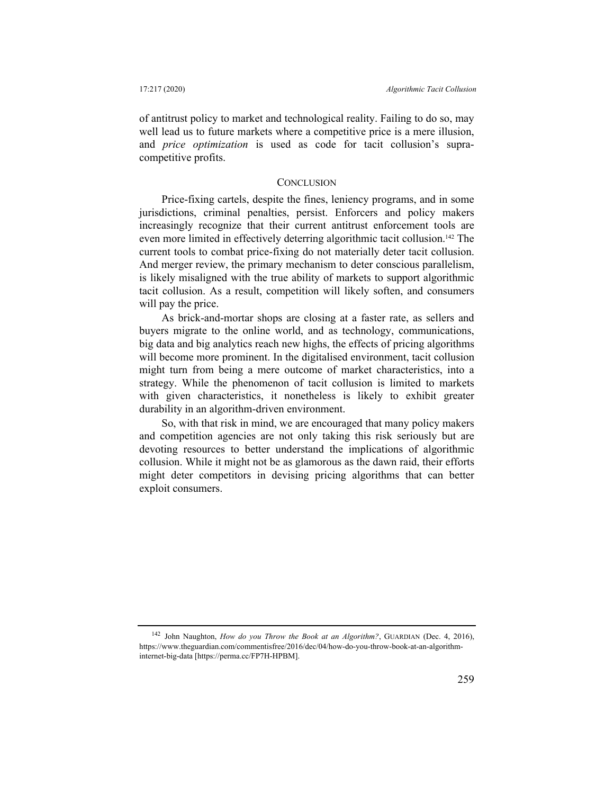of antitrust policy to market and technological reality. Failing to do so, may well lead us to future markets where a competitive price is a mere illusion, and *price optimization* is used as code for tacit collusion's supracompetitive profits.

#### **CONCLUSION**

Price-fixing cartels, despite the fines, leniency programs, and in some jurisdictions, criminal penalties, persist. Enforcers and policy makers increasingly recognize that their current antitrust enforcement tools are even more limited in effectively deterring algorithmic tacit collusion.142 The current tools to combat price-fixing do not materially deter tacit collusion. And merger review, the primary mechanism to deter conscious parallelism, is likely misaligned with the true ability of markets to support algorithmic tacit collusion. As a result, competition will likely soften, and consumers will pay the price.

As brick-and-mortar shops are closing at a faster rate, as sellers and buyers migrate to the online world, and as technology, communications, big data and big analytics reach new highs, the effects of pricing algorithms will become more prominent. In the digitalised environment, tacit collusion might turn from being a mere outcome of market characteristics, into a strategy. While the phenomenon of tacit collusion is limited to markets with given characteristics, it nonetheless is likely to exhibit greater durability in an algorithm-driven environment.

So, with that risk in mind, we are encouraged that many policy makers and competition agencies are not only taking this risk seriously but are devoting resources to better understand the implications of algorithmic collusion. While it might not be as glamorous as the dawn raid, their efforts might deter competitors in devising pricing algorithms that can better exploit consumers.

<sup>142</sup> John Naughton, *How do you Throw the Book at an Algorithm?*, GUARDIAN (Dec. 4, 2016), https://www.theguardian.com/commentisfree/2016/dec/04/how-do-you-throw-book-at-an-algorithminternet-big-data [https://perma.cc/FP7H-HPBM].